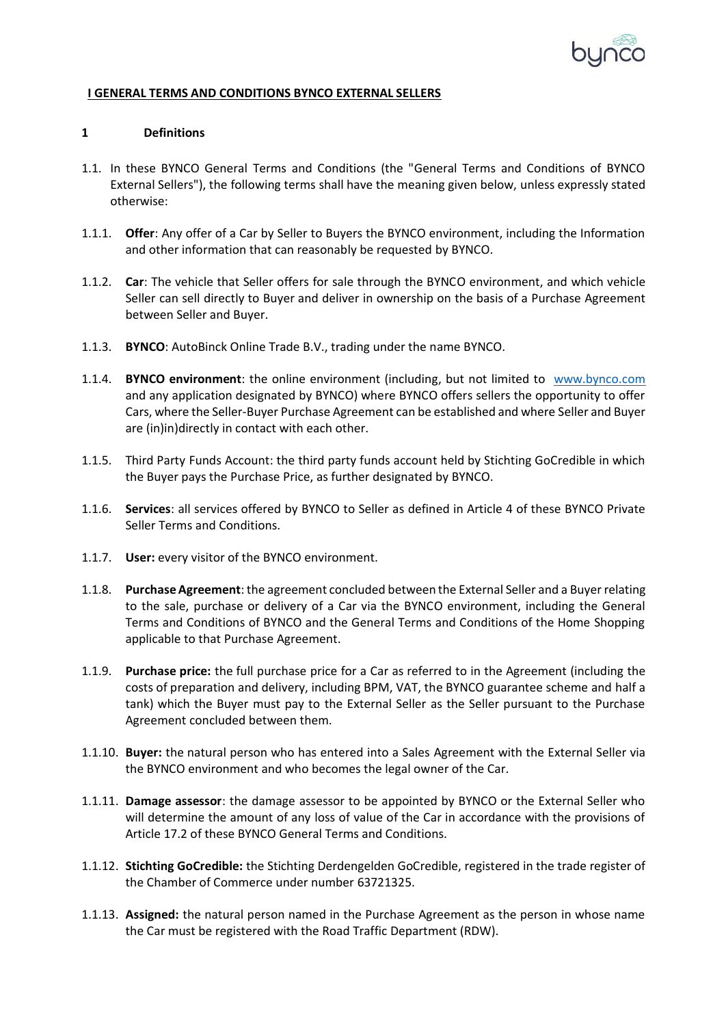

## **I GENERAL TERMS AND CONDITIONS BYNCO EXTERNAL SELLERS**

#### **1 Definitions**

- 1.1. In these BYNCO General Terms and Conditions (the "General Terms and Conditions of BYNCO External Sellers"), the following terms shall have the meaning given below, unless expressly stated otherwise:
- 1.1.1. **Offer**: Any offer of a Car by Seller to Buyers the BYNCO environment, including the Information and other information that can reasonably be requested by BYNCO.
- 1.1.2. **Car**: The vehicle that Seller offers for sale through the BYNCO environment, and which vehicle Seller can sell directly to Buyer and deliver in ownership on the basis of a Purchase Agreement between Seller and Buyer.
- 1.1.3. **BYNCO**: AutoBinck Online Trade B.V., trading under the name BYNCO.
- 1.1.4. **BYNCO environment**: the online environment (including, but not limited to [www.bynco.com](http://www.bynco.com/) [and any](http://www.bynco.com/) application designated by BYNCO) where BYNCO offers sellers the opportunity to offer Cars, where the Seller-Buyer Purchase Agreement can be established and where Seller and Buyer are (in)in)directly in contact with each other.
- 1.1.5. Third Party Funds Account: the third party funds account held by Stichting GoCredible in which the Buyer pays the Purchase Price, as further designated by BYNCO.
- 1.1.6. **Services**: all services offered by BYNCO to Seller as defined in Article 4 of these BYNCO Private Seller Terms and Conditions.
- 1.1.7. **User:** every visitor of the BYNCO environment.
- 1.1.8. **Purchase Agreement**: the agreement concluded between the External Seller and a Buyer relating to the sale, purchase or delivery of a Car via the BYNCO environment, including the General Terms and Conditions of BYNCO and the General Terms and Conditions of the Home Shopping applicable to that Purchase Agreement.
- 1.1.9. **Purchase price:** the full purchase price for a Car as referred to in the Agreement (including the costs of preparation and delivery, including BPM, VAT, the BYNCO guarantee scheme and half a tank) which the Buyer must pay to the External Seller as the Seller pursuant to the Purchase Agreement concluded between them.
- 1.1.10. **Buyer:** the natural person who has entered into a Sales Agreement with the External Seller via the BYNCO environment and who becomes the legal owner of the Car.
- 1.1.11. **Damage assessor**: the damage assessor to be appointed by BYNCO or the External Seller who will determine the amount of any loss of value of the Car in accordance with the provisions of Article 17.2 of these BYNCO General Terms and Conditions.
- 1.1.12. **Stichting GoCredible:** the Stichting Derdengelden GoCredible, registered in the trade register of the Chamber of Commerce under number 63721325.
- 1.1.13. **Assigned:** the natural person named in the Purchase Agreement as the person in whose name the Car must be registered with the Road Traffic Department (RDW).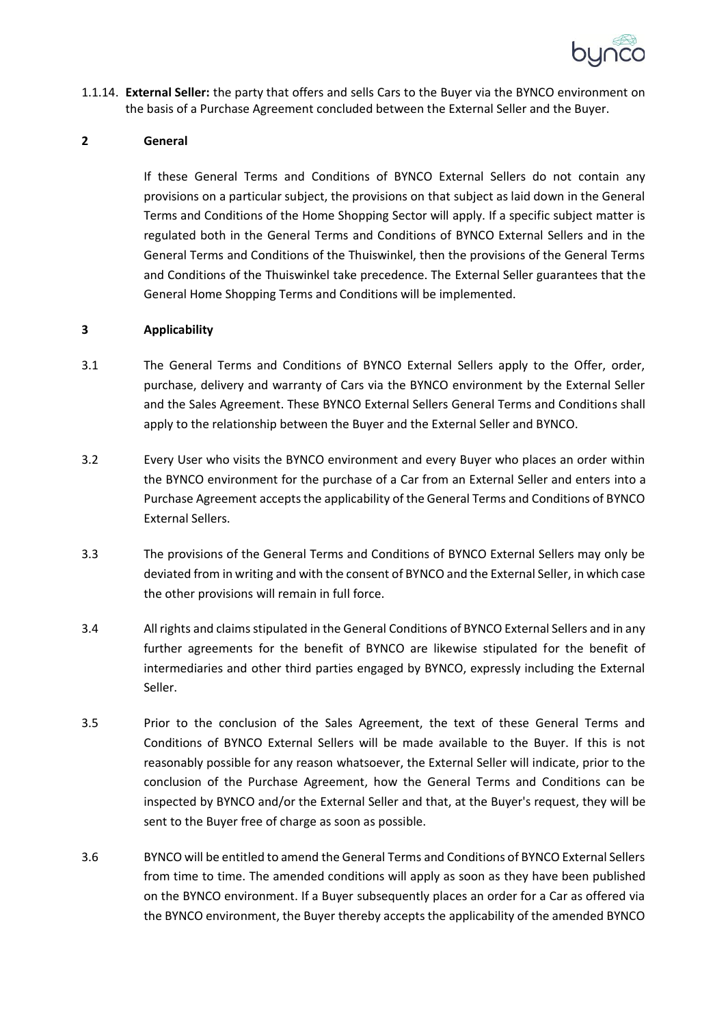

1.1.14. **External Seller:** the party that offers and sells Cars to the Buyer via the BYNCO environment on the basis of a Purchase Agreement concluded between the External Seller and the Buyer.

#### **2 General**

If these General Terms and Conditions of BYNCO External Sellers do not contain any provisions on a particular subject, the provisions on that subject as laid down in the General Terms and Conditions of the Home Shopping Sector will apply. If a specific subject matter is regulated both in the General Terms and Conditions of BYNCO External Sellers and in the General Terms and Conditions of the Thuiswinkel, then the provisions of the General Terms and Conditions of the Thuiswinkel take precedence. The External Seller guarantees that the General Home Shopping Terms and Conditions will be implemented.

#### **3 Applicability**

- 3.1 The General Terms and Conditions of BYNCO External Sellers apply to the Offer, order, purchase, delivery and warranty of Cars via the BYNCO environment by the External Seller and the Sales Agreement. These BYNCO External Sellers General Terms and Conditions shall apply to the relationship between the Buyer and the External Seller and BYNCO.
- 3.2 Every User who visits the BYNCO environment and every Buyer who places an order within the BYNCO environment for the purchase of a Car from an External Seller and enters into a Purchase Agreement accepts the applicability of the General Terms and Conditions of BYNCO External Sellers.
- 3.3 The provisions of the General Terms and Conditions of BYNCO External Sellers may only be deviated from in writing and with the consent of BYNCO and the External Seller, in which case the other provisions will remain in full force.
- 3.4 All rights and claims stipulated in the General Conditions of BYNCO External Sellers and in any further agreements for the benefit of BYNCO are likewise stipulated for the benefit of intermediaries and other third parties engaged by BYNCO, expressly including the External Seller.
- 3.5 Prior to the conclusion of the Sales Agreement, the text of these General Terms and Conditions of BYNCO External Sellers will be made available to the Buyer. If this is not reasonably possible for any reason whatsoever, the External Seller will indicate, prior to the conclusion of the Purchase Agreement, how the General Terms and Conditions can be inspected by BYNCO and/or the External Seller and that, at the Buyer's request, they will be sent to the Buyer free of charge as soon as possible.
- 3.6 BYNCO will be entitled to amend the General Terms and Conditions of BYNCO External Sellers from time to time. The amended conditions will apply as soon as they have been published on the BYNCO environment. If a Buyer subsequently places an order for a Car as offered via the BYNCO environment, the Buyer thereby accepts the applicability of the amended BYNCO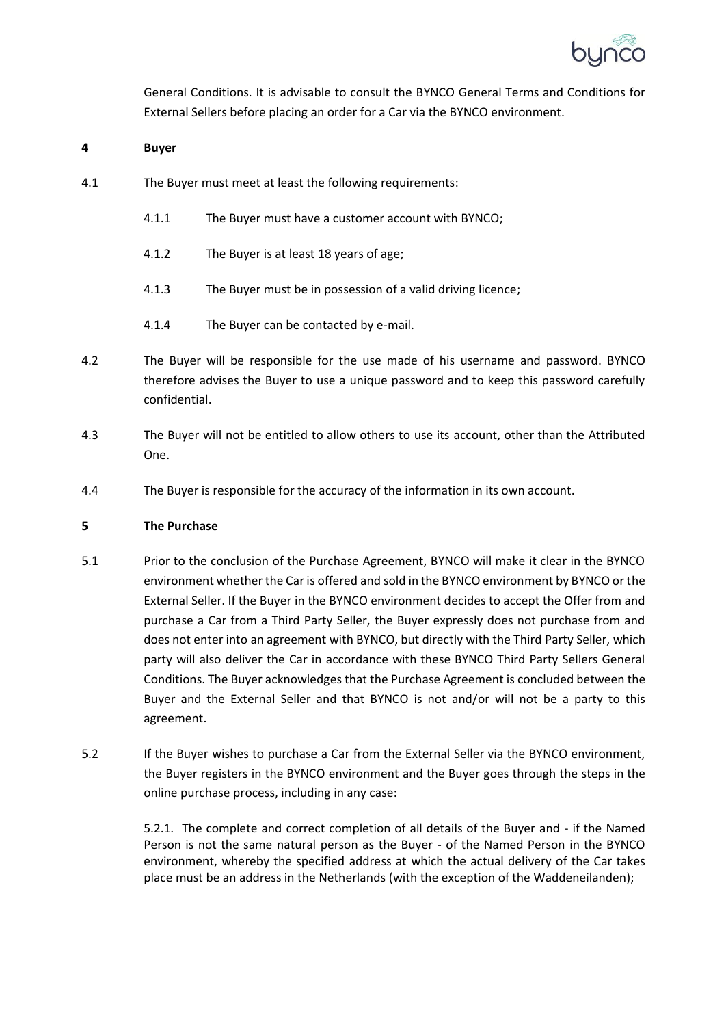

General Conditions. It is advisable to consult the BYNCO General Terms and Conditions for External Sellers before placing an order for a Car via the BYNCO environment.

## **4 Buyer**

- 4.1 The Buyer must meet at least the following requirements:
	- 4.1.1 The Buyer must have a customer account with BYNCO;
	- 4.1.2 The Buyer is at least 18 years of age;
	- 4.1.3 The Buyer must be in possession of a valid driving licence;
	- 4.1.4 The Buyer can be contacted by e-mail.
- 4.2 The Buyer will be responsible for the use made of his username and password. BYNCO therefore advises the Buyer to use a unique password and to keep this password carefully confidential.
- 4.3 The Buyer will not be entitled to allow others to use its account, other than the Attributed One.
- 4.4 The Buyer is responsible for the accuracy of the information in its own account.

## **5 The Purchase**

- 5.1 Prior to the conclusion of the Purchase Agreement, BYNCO will make it clear in the BYNCO environment whether the Car is offered and sold in the BYNCO environment by BYNCO or the External Seller. If the Buyer in the BYNCO environment decides to accept the Offer from and purchase a Car from a Third Party Seller, the Buyer expressly does not purchase from and does not enter into an agreement with BYNCO, but directly with the Third Party Seller, which party will also deliver the Car in accordance with these BYNCO Third Party Sellers General Conditions. The Buyer acknowledges that the Purchase Agreement is concluded between the Buyer and the External Seller and that BYNCO is not and/or will not be a party to this agreement.
- 5.2 If the Buyer wishes to purchase a Car from the External Seller via the BYNCO environment, the Buyer registers in the BYNCO environment and the Buyer goes through the steps in the online purchase process, including in any case:

5.2.1. The complete and correct completion of all details of the Buyer and - if the Named Person is not the same natural person as the Buyer - of the Named Person in the BYNCO environment, whereby the specified address at which the actual delivery of the Car takes place must be an address in the Netherlands (with the exception of the Waddeneilanden);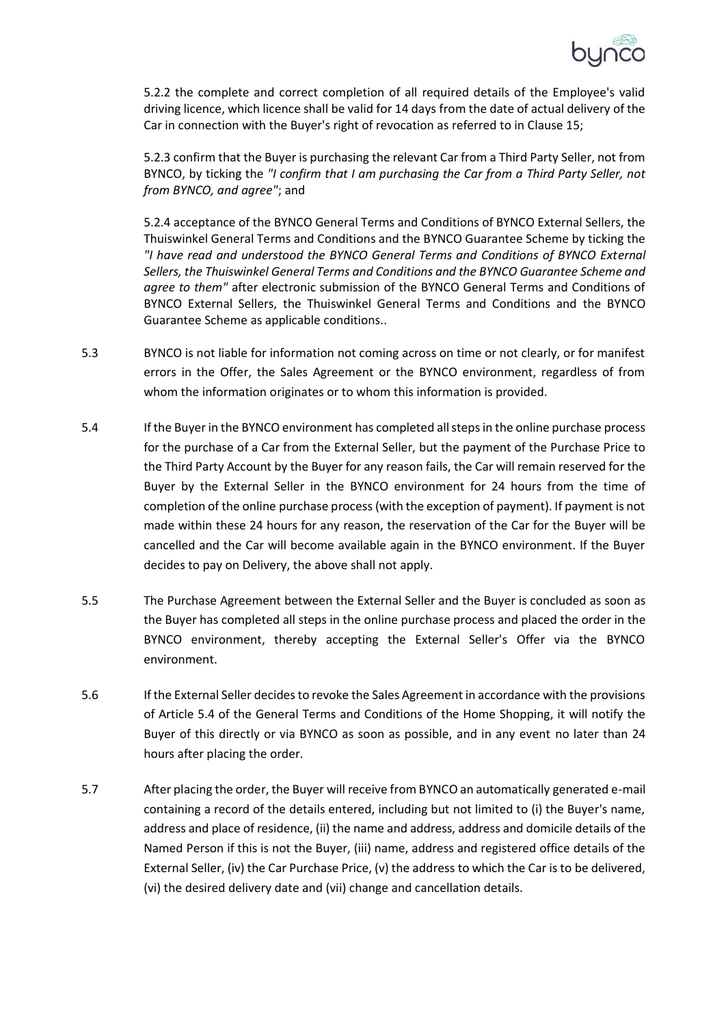

5.2.2 the complete and correct completion of all required details of the Employee's valid driving licence, which licence shall be valid for 14 days from the date of actual delivery of the Car in connection with the Buyer's right of revocation as referred to in Clause 15;

5.2.3 confirm that the Buyer is purchasing the relevant Car from a Third Party Seller, not from BYNCO, by ticking the *"I confirm that I am purchasing the Car from a Third Party Seller, not from BYNCO, and agree"*; and

5.2.4 acceptance of the BYNCO General Terms and Conditions of BYNCO External Sellers, the Thuiswinkel General Terms and Conditions and the BYNCO Guarantee Scheme by ticking the *"I have read and understood the BYNCO General Terms and Conditions of BYNCO External Sellers, the Thuiswinkel General Terms and Conditions and the BYNCO Guarantee Scheme and agree to them"* after electronic submission of the BYNCO General Terms and Conditions of BYNCO External Sellers, the Thuiswinkel General Terms and Conditions and the BYNCO Guarantee Scheme as applicable conditions..

- 5.3 BYNCO is not liable for information not coming across on time or not clearly, or for manifest errors in the Offer, the Sales Agreement or the BYNCO environment, regardless of from whom the information originates or to whom this information is provided.
- 5.4 If the Buyer in the BYNCO environment has completed all steps in the online purchase process for the purchase of a Car from the External Seller, but the payment of the Purchase Price to the Third Party Account by the Buyer for any reason fails, the Car will remain reserved for the Buyer by the External Seller in the BYNCO environment for 24 hours from the time of completion of the online purchase process (with the exception of payment). If payment is not made within these 24 hours for any reason, the reservation of the Car for the Buyer will be cancelled and the Car will become available again in the BYNCO environment. If the Buyer decides to pay on Delivery, the above shall not apply.
- 5.5 The Purchase Agreement between the External Seller and the Buyer is concluded as soon as the Buyer has completed all steps in the online purchase process and placed the order in the BYNCO environment, thereby accepting the External Seller's Offer via the BYNCO environment.
- 5.6 If the External Seller decides to revoke the Sales Agreement in accordance with the provisions of Article 5.4 of the General Terms and Conditions of the Home Shopping, it will notify the Buyer of this directly or via BYNCO as soon as possible, and in any event no later than 24 hours after placing the order.
- 5.7 After placing the order, the Buyer will receive from BYNCO an automatically generated e-mail containing a record of the details entered, including but not limited to (i) the Buyer's name, address and place of residence, (ii) the name and address, address and domicile details of the Named Person if this is not the Buyer, (iii) name, address and registered office details of the External Seller, (iv) the Car Purchase Price, (v) the address to which the Car is to be delivered, (vi) the desired delivery date and (vii) change and cancellation details.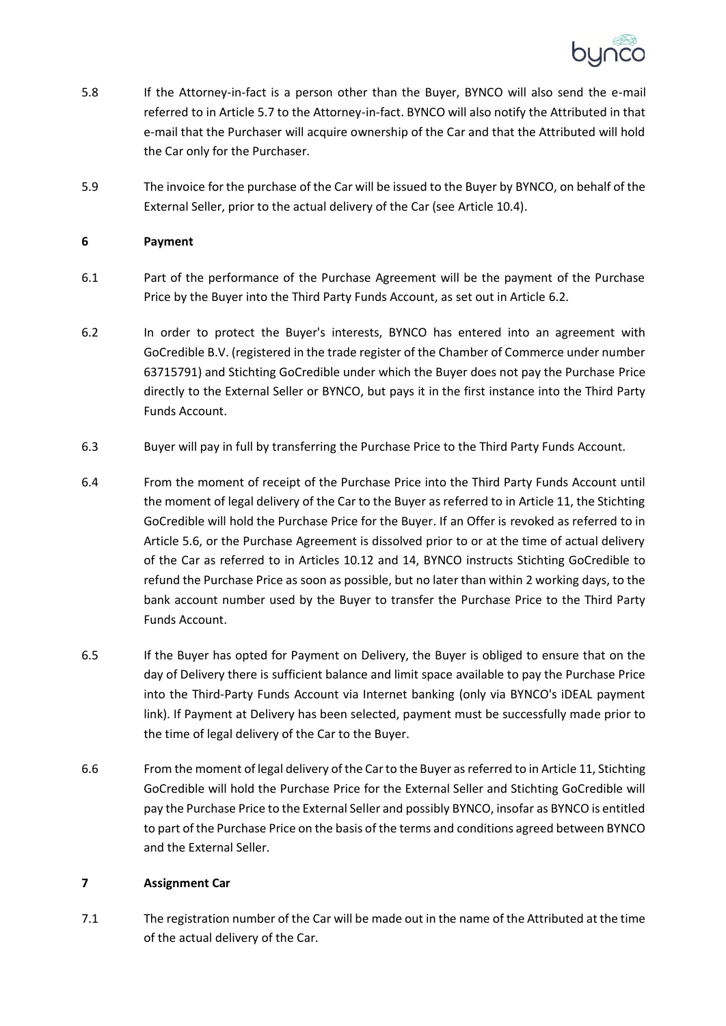

- 5.8 If the Attorney-in-fact is a person other than the Buyer, BYNCO will also send the e-mail referred to in Article 5.7 to the Attorney-in-fact. BYNCO will also notify the Attributed in that e-mail that the Purchaser will acquire ownership of the Car and that the Attributed will hold the Car only for the Purchaser.
- 5.9 The invoice for the purchase of the Car will be issued to the Buyer by BYNCO, on behalf of the External Seller, prior to the actual delivery of the Car (see Article 10.4).

# **6 Payment**

- 6.1 Part of the performance of the Purchase Agreement will be the payment of the Purchase Price by the Buyer into the Third Party Funds Account, as set out in Article [6.2.](#page-4-0)
- <span id="page-4-0"></span>6.2 In order to protect the Buyer's interests, BYNCO has entered into an agreement with GoCredible B.V. (registered in the trade register of the Chamber of Commerce under number 63715791) and Stichting GoCredible under which the Buyer does not pay the Purchase Price directly to the External Seller or BYNCO, but pays it in the first instance into the Third Party Funds Account.
- 6.3 Buyer will pay in full by transferring the Purchase Price to the Third Party Funds Account.
- 6.4 From the moment of receipt of the Purchase Price into the Third Party Funds Account until the moment of legal delivery of the Car to the Buyer as referred to in Article 11, the Stichting GoCredible will hold the Purchase Price for the Buyer. If an Offer is revoked as referred to in Article 5.6, or the Purchase Agreement is dissolved prior to or at the time of actual delivery of the Car as referred to in Articles 10.12 and 14, BYNCO instructs Stichting GoCredible to refund the Purchase Price as soon as possible, but no later than within 2 working days, to the bank account number used by the Buyer to transfer the Purchase Price to the Third Party Funds Account.
- 6.5 If the Buyer has opted for Payment on Delivery, the Buyer is obliged to ensure that on the day of Delivery there is sufficient balance and limit space available to pay the Purchase Price into the Third-Party Funds Account via Internet banking (only via BYNCO's iDEAL payment link). If Payment at Delivery has been selected, payment must be successfully made prior to the time of legal delivery of the Car to the Buyer.
- 6.6 From the moment of legal delivery of the Car to the Buyer as referred to in Article 11, Stichting GoCredible will hold the Purchase Price for the External Seller and Stichting GoCredible will pay the Purchase Price to the External Seller and possibly BYNCO, insofar as BYNCO is entitled to part of the Purchase Price on the basis of the terms and conditions agreed between BYNCO and the External Seller.

## **7 Assignment Car**

7.1 The registration number of the Car will be made out in the name of the Attributed at the time of the actual delivery of the Car.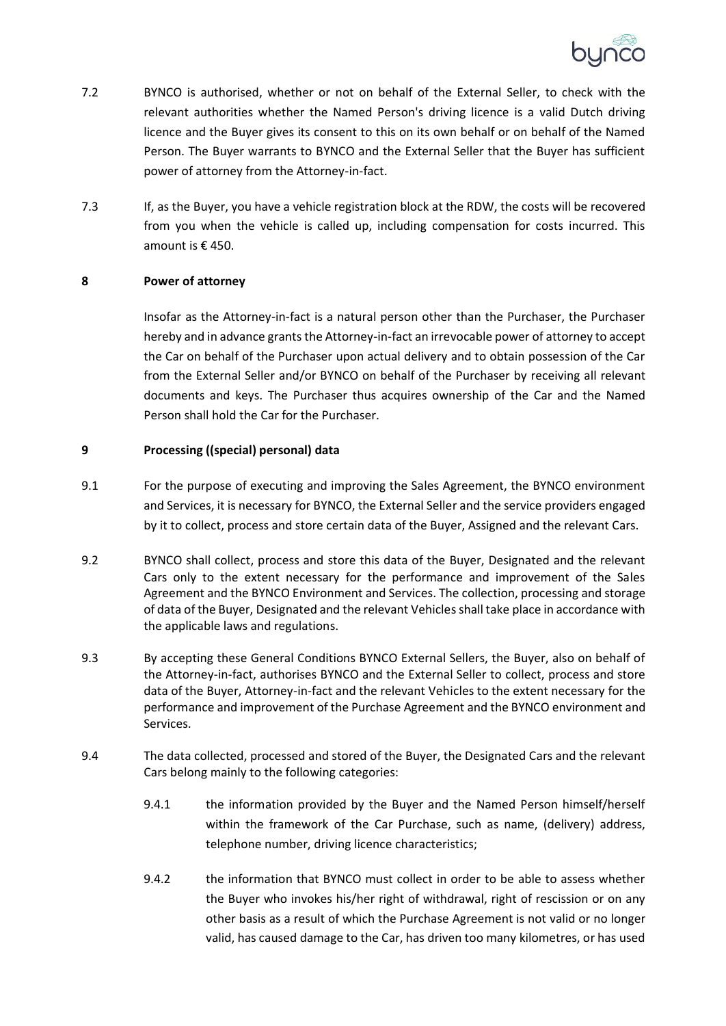

- 7.2 BYNCO is authorised, whether or not on behalf of the External Seller, to check with the relevant authorities whether the Named Person's driving licence is a valid Dutch driving licence and the Buyer gives its consent to this on its own behalf or on behalf of the Named Person. The Buyer warrants to BYNCO and the External Seller that the Buyer has sufficient power of attorney from the Attorney-in-fact.
- 7.3 If, as the Buyer, you have a vehicle registration block at the RDW, the costs will be recovered from you when the vehicle is called up, including compensation for costs incurred. This amount is € 450.

## **8 Power of attorney**

Insofar as the Attorney-in-fact is a natural person other than the Purchaser, the Purchaser hereby and in advance grants the Attorney-in-fact an irrevocable power of attorney to accept the Car on behalf of the Purchaser upon actual delivery and to obtain possession of the Car from the External Seller and/or BYNCO on behalf of the Purchaser by receiving all relevant documents and keys. The Purchaser thus acquires ownership of the Car and the Named Person shall hold the Car for the Purchaser.

# **9 Processing ((special) personal) data**

- 9.1 For the purpose of executing and improving the Sales Agreement, the BYNCO environment and Services, it is necessary for BYNCO, the External Seller and the service providers engaged by it to collect, process and store certain data of the Buyer, Assigned and the relevant Cars.
- 9.2 BYNCO shall collect, process and store this data of the Buyer, Designated and the relevant Cars only to the extent necessary for the performance and improvement of the Sales Agreement and the BYNCO Environment and Services. The collection, processing and storage of data of the Buyer, Designated and the relevant Vehicles shall take place in accordance with the applicable laws and regulations.
- 9.3 By accepting these General Conditions BYNCO External Sellers, the Buyer, also on behalf of the Attorney-in-fact, authorises BYNCO and the External Seller to collect, process and store data of the Buyer, Attorney-in-fact and the relevant Vehicles to the extent necessary for the performance and improvement of the Purchase Agreement and the BYNCO environment and Services.
- 9.4 The data collected, processed and stored of the Buyer, the Designated Cars and the relevant Cars belong mainly to the following categories:
	- 9.4.1 the information provided by the Buyer and the Named Person himself/herself within the framework of the Car Purchase, such as name, (delivery) address, telephone number, driving licence characteristics;
	- 9.4.2 the information that BYNCO must collect in order to be able to assess whether the Buyer who invokes his/her right of withdrawal, right of rescission or on any other basis as a result of which the Purchase Agreement is not valid or no longer valid, has caused damage to the Car, has driven too many kilometres, or has used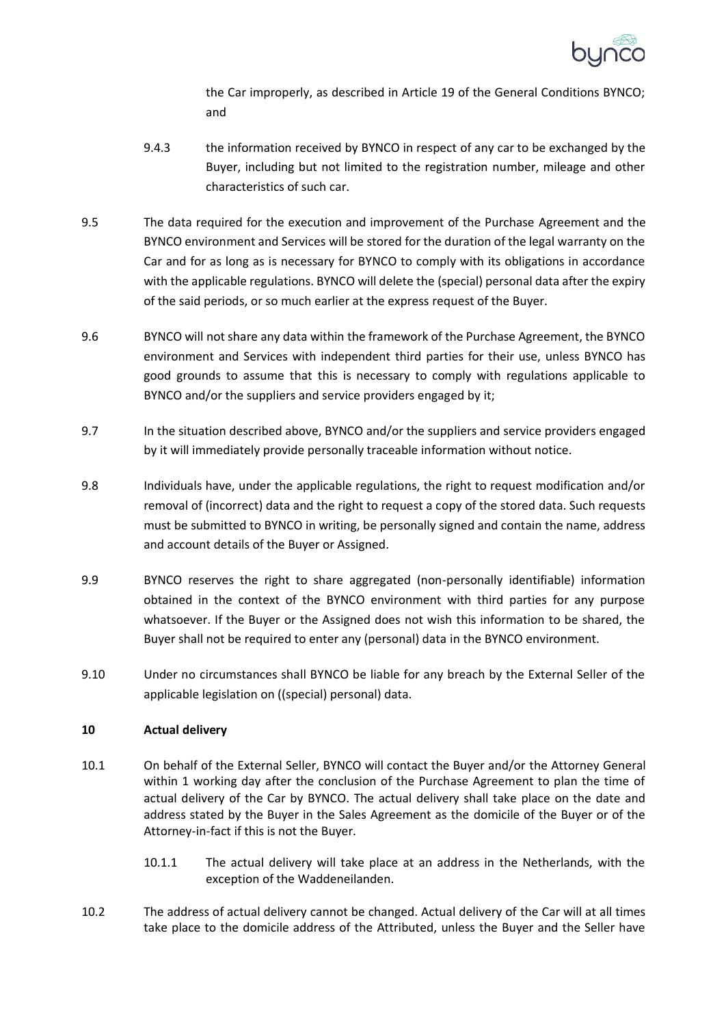

the Car improperly, as described in Article 19 of the General Conditions BYNCO; and

- 9.4.3 the information received by BYNCO in respect of any car to be exchanged by the Buyer, including but not limited to the registration number, mileage and other characteristics of such car.
- 9.5 The data required for the execution and improvement of the Purchase Agreement and the BYNCO environment and Services will be stored for the duration of the legal warranty on the Car and for as long as is necessary for BYNCO to comply with its obligations in accordance with the applicable regulations. BYNCO will delete the (special) personal data after the expiry of the said periods, or so much earlier at the express request of the Buyer.
- 9.6 BYNCO will not share any data within the framework of the Purchase Agreement, the BYNCO environment and Services with independent third parties for their use, unless BYNCO has good grounds to assume that this is necessary to comply with regulations applicable to BYNCO and/or the suppliers and service providers engaged by it;
- 9.7 In the situation described above, BYNCO and/or the suppliers and service providers engaged by it will immediately provide personally traceable information without notice.
- 9.8 Individuals have, under the applicable regulations, the right to request modification and/or removal of (incorrect) data and the right to request a copy of the stored data. Such requests must be submitted to BYNCO in writing, be personally signed and contain the name, address and account details of the Buyer or Assigned.
- 9.9 BYNCO reserves the right to share aggregated (non-personally identifiable) information obtained in the context of the BYNCO environment with third parties for any purpose whatsoever. If the Buyer or the Assigned does not wish this information to be shared, the Buyer shall not be required to enter any (personal) data in the BYNCO environment.
- 9.10 Under no circumstances shall BYNCO be liable for any breach by the External Seller of the applicable legislation on ((special) personal) data.

# **10 Actual delivery**

- 10.1 On behalf of the External Seller, BYNCO will contact the Buyer and/or the Attorney General within 1 working day after the conclusion of the Purchase Agreement to plan the time of actual delivery of the Car by BYNCO. The actual delivery shall take place on the date and address stated by the Buyer in the Sales Agreement as the domicile of the Buyer or of the Attorney-in-fact if this is not the Buyer.
	- 10.1.1 The actual delivery will take place at an address in the Netherlands, with the exception of the Waddeneilanden.
- 10.2 The address of actual delivery cannot be changed. Actual delivery of the Car will at all times take place to the domicile address of the Attributed, unless the Buyer and the Seller have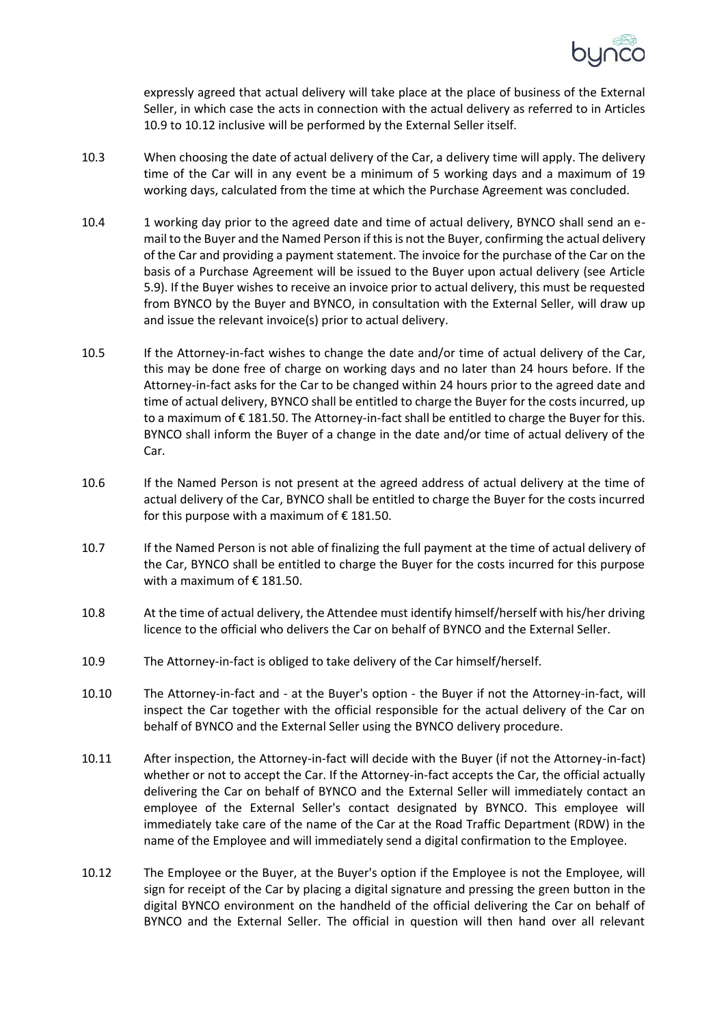

expressly agreed that actual delivery will take place at the place of business of the External Seller, in which case the acts in connection with the actual delivery as referred to in Articles 10.9 to 10.12 inclusive will be performed by the External Seller itself.

- 10.3 When choosing the date of actual delivery of the Car, a delivery time will apply. The delivery time of the Car will in any event be a minimum of 5 working days and a maximum of 19 working days, calculated from the time at which the Purchase Agreement was concluded.
- 10.4 1 working day prior to the agreed date and time of actual delivery, BYNCO shall send an email to the Buyer and the Named Person if this is not the Buyer, confirming the actual delivery of the Car and providing a payment statement. The invoice for the purchase of the Car on the basis of a Purchase Agreement will be issued to the Buyer upon actual delivery (see Article 5.9). If the Buyer wishes to receive an invoice prior to actual delivery, this must be requested from BYNCO by the Buyer and BYNCO, in consultation with the External Seller, will draw up and issue the relevant invoice(s) prior to actual delivery.
- 10.5 If the Attorney-in-fact wishes to change the date and/or time of actual delivery of the Car, this may be done free of charge on working days and no later than 24 hours before. If the Attorney-in-fact asks for the Car to be changed within 24 hours prior to the agreed date and time of actual delivery, BYNCO shall be entitled to charge the Buyer for the costs incurred, up to a maximum of € 181.50. The Attorney-in-fact shall be entitled to charge the Buyer for this. BYNCO shall inform the Buyer of a change in the date and/or time of actual delivery of the Car.
- 10.6 If the Named Person is not present at the agreed address of actual delivery at the time of actual delivery of the Car, BYNCO shall be entitled to charge the Buyer for the costs incurred for this purpose with a maximum of  $\epsilon$  181.50.
- 10.7 If the Named Person is not able of finalizing the full payment at the time of actual delivery of the Car, BYNCO shall be entitled to charge the Buyer for the costs incurred for this purpose with a maximum of  $\epsilon$  181.50.
- 10.8 At the time of actual delivery, the Attendee must identify himself/herself with his/her driving licence to the official who delivers the Car on behalf of BYNCO and the External Seller.
- 10.9 The Attorney-in-fact is obliged to take delivery of the Car himself/herself.
- 10.10 The Attorney-in-fact and at the Buyer's option the Buyer if not the Attorney-in-fact, will inspect the Car together with the official responsible for the actual delivery of the Car on behalf of BYNCO and the External Seller using the BYNCO delivery procedure.
- 10.11 After inspection, the Attorney-in-fact will decide with the Buyer (if not the Attorney-in-fact) whether or not to accept the Car. If the Attorney-in-fact accepts the Car, the official actually delivering the Car on behalf of BYNCO and the External Seller will immediately contact an employee of the External Seller's contact designated by BYNCO. This employee will immediately take care of the name of the Car at the Road Traffic Department (RDW) in the name of the Employee and will immediately send a digital confirmation to the Employee.
- 10.12 The Employee or the Buyer, at the Buyer's option if the Employee is not the Employee, will sign for receipt of the Car by placing a digital signature and pressing the green button in the digital BYNCO environment on the handheld of the official delivering the Car on behalf of BYNCO and the External Seller. The official in question will then hand over all relevant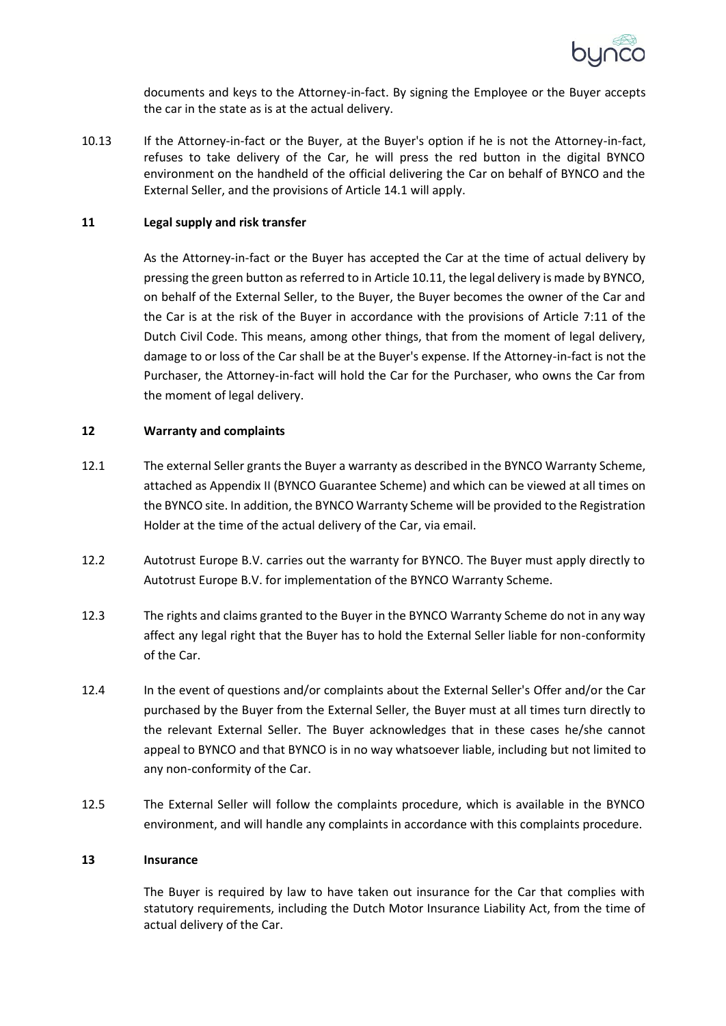

documents and keys to the Attorney-in-fact. By signing the Employee or the Buyer accepts the car in the state as is at the actual delivery.

10.13 If the Attorney-in-fact or the Buyer, at the Buyer's option if he is not the Attorney-in-fact, refuses to take delivery of the Car, he will press the red button in the digital BYNCO environment on the handheld of the official delivering the Car on behalf of BYNCO and the External Seller, and the provisions of Article 14.1 will apply.

#### **11 Legal supply and risk transfer**

As the Attorney-in-fact or the Buyer has accepted the Car at the time of actual delivery by pressing the green button as referred to in Article 10.11, the legal delivery is made by BYNCO, on behalf of the External Seller, to the Buyer, the Buyer becomes the owner of the Car and the Car is at the risk of the Buyer in accordance with the provisions of Article 7:11 of the Dutch Civil Code. This means, among other things, that from the moment of legal delivery, damage to or loss of the Car shall be at the Buyer's expense. If the Attorney-in-fact is not the Purchaser, the Attorney-in-fact will hold the Car for the Purchaser, who owns the Car from the moment of legal delivery.

#### **12 Warranty and complaints**

- 12.1 The external Seller grants the Buyer a warranty as described in the BYNCO Warranty Scheme, attached as Appendix II (BYNCO Guarantee Scheme) and which can be viewed at all times on the BYNCO site. In addition, the BYNCO Warranty Scheme will be provided to the Registration Holder at the time of the actual delivery of the Car, via email.
- 12.2 Autotrust Europe B.V. carries out the warranty for BYNCO. The Buyer must apply directly to Autotrust Europe B.V. for implementation of the BYNCO Warranty Scheme.
- 12.3 The rights and claims granted to the Buyer in the BYNCO Warranty Scheme do not in any way affect any legal right that the Buyer has to hold the External Seller liable for non-conformity of the Car.
- 12.4 In the event of questions and/or complaints about the External Seller's Offer and/or the Car purchased by the Buyer from the External Seller, the Buyer must at all times turn directly to the relevant External Seller. The Buyer acknowledges that in these cases he/she cannot appeal to BYNCO and that BYNCO is in no way whatsoever liable, including but not limited to any non-conformity of the Car.
- 12.5 The External Seller will follow the complaints procedure, which is available in the BYNCO environment, and will handle any complaints in accordance with this complaints procedure.

# **13 Insurance**

The Buyer is required by law to have taken out insurance for the Car that complies with statutory requirements, including the Dutch Motor Insurance Liability Act, from the time of actual delivery of the Car.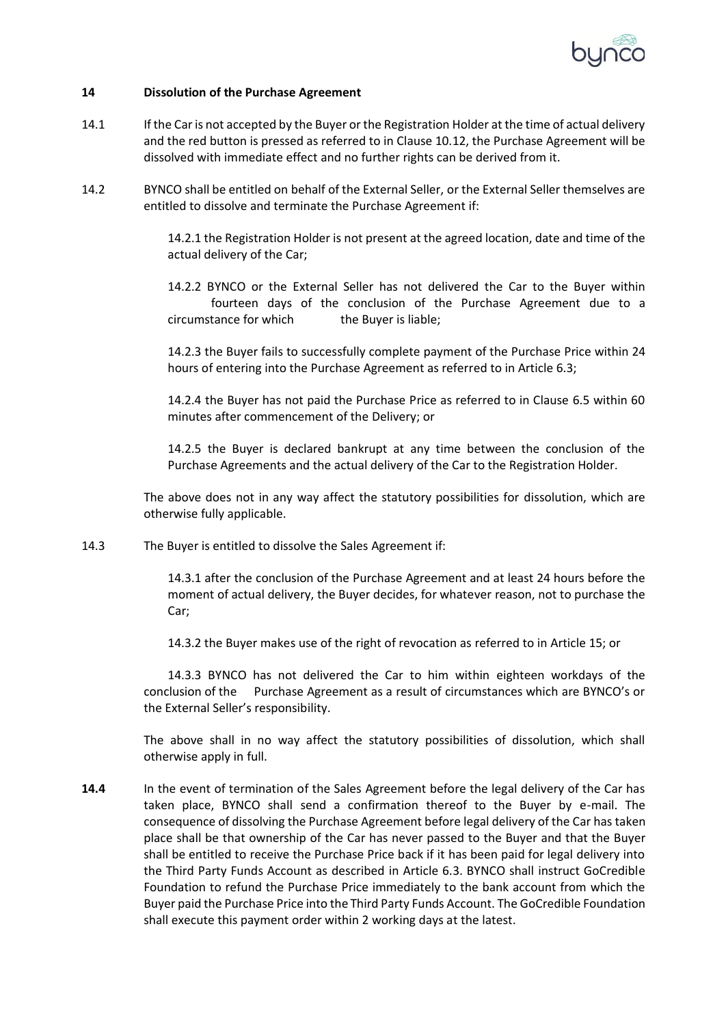

#### **14 Dissolution of the Purchase Agreement**

- 14.1 If the Car is not accepted by the Buyer or the Registration Holder at the time of actual delivery and the red button is pressed as referred to in Clause 10.12, the Purchase Agreement will be dissolved with immediate effect and no further rights can be derived from it.
- 14.2 BYNCO shall be entitled on behalf of the External Seller, or the External Seller themselves are entitled to dissolve and terminate the Purchase Agreement if:

14.2.1 the Registration Holder is not present at the agreed location, date and time of the actual delivery of the Car;

14.2.2 BYNCO or the External Seller has not delivered the Car to the Buyer within fourteen days of the conclusion of the Purchase Agreement due to a circumstance for which the Buyer is liable;

14.2.3 the Buyer fails to successfully complete payment of the Purchase Price within 24 hours of entering into the Purchase Agreement as referred to in Article 6.3;

14.2.4 the Buyer has not paid the Purchase Price as referred to in Clause 6.5 within 60 minutes after commencement of the Delivery; or

14.2.5 the Buyer is declared bankrupt at any time between the conclusion of the Purchase Agreements and the actual delivery of the Car to the Registration Holder.

The above does not in any way affect the statutory possibilities for dissolution, which are otherwise fully applicable.

14.3 The Buyer is entitled to dissolve the Sales Agreement if:

14.3.1 after the conclusion of the Purchase Agreement and at least 24 hours before the moment of actual delivery, the Buyer decides, for whatever reason, not to purchase the Car;

14.3.2 the Buyer makes use of the right of revocation as referred to in Article 15; or

14.3.3 BYNCO has not delivered the Car to him within eighteen workdays of the conclusion of the Purchase Agreement as a result of circumstances which are BYNCO's or the External Seller's responsibility.

The above shall in no way affect the statutory possibilities of dissolution, which shall otherwise apply in full.

**14.4** In the event of termination of the Sales Agreement before the legal delivery of the Car has taken place, BYNCO shall send a confirmation thereof to the Buyer by e-mail. The consequence of dissolving the Purchase Agreement before legal delivery of the Car has taken place shall be that ownership of the Car has never passed to the Buyer and that the Buyer shall be entitled to receive the Purchase Price back if it has been paid for legal delivery into the Third Party Funds Account as described in Article 6.3. BYNCO shall instruct GoCredible Foundation to refund the Purchase Price immediately to the bank account from which the Buyer paid the Purchase Price into the Third Party Funds Account. The GoCredible Foundation shall execute this payment order within 2 working days at the latest.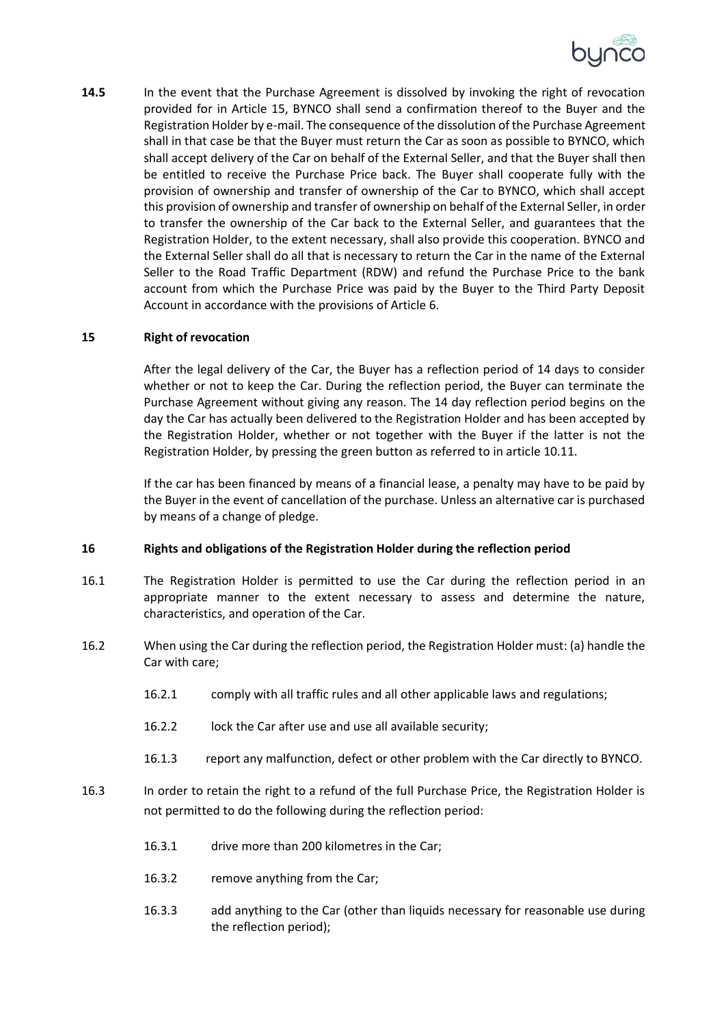

**14.5** In the event that the Purchase Agreement is dissolved by invoking the right of revocation provided for in Article 15, BYNCO shall send a confirmation thereof to the Buyer and the Registration Holder by e-mail. The consequence of the dissolution of the Purchase Agreement shall in that case be that the Buyer must return the Car as soon as possible to BYNCO, which shall accept delivery of the Car on behalf of the External Seller, and that the Buyer shall then be entitled to receive the Purchase Price back. The Buyer shall cooperate fully with the provision of ownership and transfer of ownership of the Car to BYNCO, which shall accept this provision of ownership and transfer of ownership on behalf of the External Seller, in order to transfer the ownership of the Car back to the External Seller, and guarantees that the Registration Holder, to the extent necessary, shall also provide this cooperation. BYNCO and the External Seller shall do all that is necessary to return the Car in the name of the External Seller to the Road Traffic Department (RDW) and refund the Purchase Price to the bank account from which the Purchase Price was paid by the Buyer to the Third Party Deposit Account in accordance with the provisions of Article 6.

#### **15 Right of revocation**

After the legal delivery of the Car, the Buyer has a reflection period of 14 days to consider whether or not to keep the Car. During the reflection period, the Buyer can terminate the Purchase Agreement without giving any reason. The 14 day reflection period begins on the day the Car has actually been delivered to the Registration Holder and has been accepted by the Registration Holder, whether or not together with the Buyer if the latter is not the Registration Holder, by pressing the green button as referred to in article 10.11.

If the car has been financed by means of a financial lease, a penalty may have to be paid by the Buyer in the event of cancellation of the purchase. Unless an alternative car is purchased by means of a change of pledge.

#### **16 Rights and obligations of the Registration Holder during the reflection period**

- 16.1 The Registration Holder is permitted to use the Car during the reflection period in an appropriate manner to the extent necessary to assess and determine the nature, characteristics, and operation of the Car.
- 16.2 When using the Car during the reflection period, the Registration Holder must: (a) handle the Car with care;
	- 16.2.1 comply with all traffic rules and all other applicable laws and regulations;
	- 16.2.2 lock the Car after use and use all available security;
	- 16.1.3 report any malfunction, defect or other problem with the Car directly to BYNCO.
- 16.3 In order to retain the right to a refund of the full Purchase Price, the Registration Holder is not permitted to do the following during the reflection period:
	- 16.3.1 drive more than 200 kilometres in the Car;
	- 16.3.2 remove anything from the Car;
	- 16.3.3 add anything to the Car (other than liquids necessary for reasonable use during the reflection period);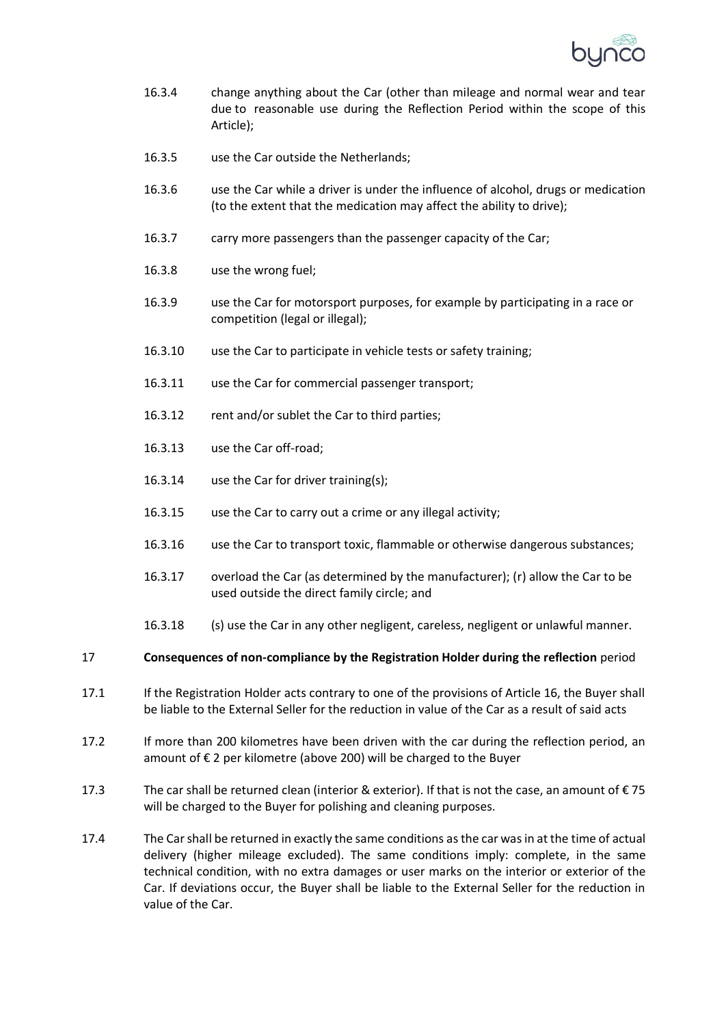

- 16.3.4 change anything about the Car (other than mileage and normal wear and tear due to reasonable use during the Reflection Period within the scope of this Article);
- 16.3.5 use the Car outside the Netherlands;
- 16.3.6 use the Car while a driver is under the influence of alcohol, drugs or medication (to the extent that the medication may affect the ability to drive);
- 16.3.7 carry more passengers than the passenger capacity of the Car;
- 16.3.8 use the wrong fuel;
- 16.3.9 use the Car for motorsport purposes, for example by participating in a race or competition (legal or illegal);
- 16.3.10 use the Car to participate in vehicle tests or safety training;
- 16.3.11 use the Car for commercial passenger transport;
- 16.3.12 rent and/or sublet the Car to third parties;
- 16.3.13 use the Car off-road;
- 16.3.14 use the Car for driver training(s);
- 16.3.15 use the Car to carry out a crime or any illegal activity;
- 16.3.16 use the Car to transport toxic, flammable or otherwise dangerous substances;
- 16.3.17 overload the Car (as determined by the manufacturer); (r) allow the Car to be used outside the direct family circle; and
- 16.3.18 (s) use the Car in any other negligent, careless, negligent or unlawful manner.

#### 17 **Consequences of non-compliance by the Registration Holder during the reflection** period

- 17.1 If the Registration Holder acts contrary to one of the provisions of Article 16, the Buyer shall be liable to the External Seller for the reduction in value of the Car as a result of said acts
- 17.2 If more than 200 kilometres have been driven with the car during the reflection period, an amount of € 2 per kilometre (above 200) will be charged to the Buyer
- 17.3 The car shall be returned clean (interior & exterior). If that is not the case, an amount of  $\epsilon$  75 will be charged to the Buyer for polishing and cleaning purposes.
- 17.4 The Car shall be returned in exactly the same conditions as the car was in at the time of actual delivery (higher mileage excluded). The same conditions imply: complete, in the same technical condition, with no extra damages or user marks on the interior or exterior of the Car. If deviations occur, the Buyer shall be liable to the External Seller for the reduction in value of the Car.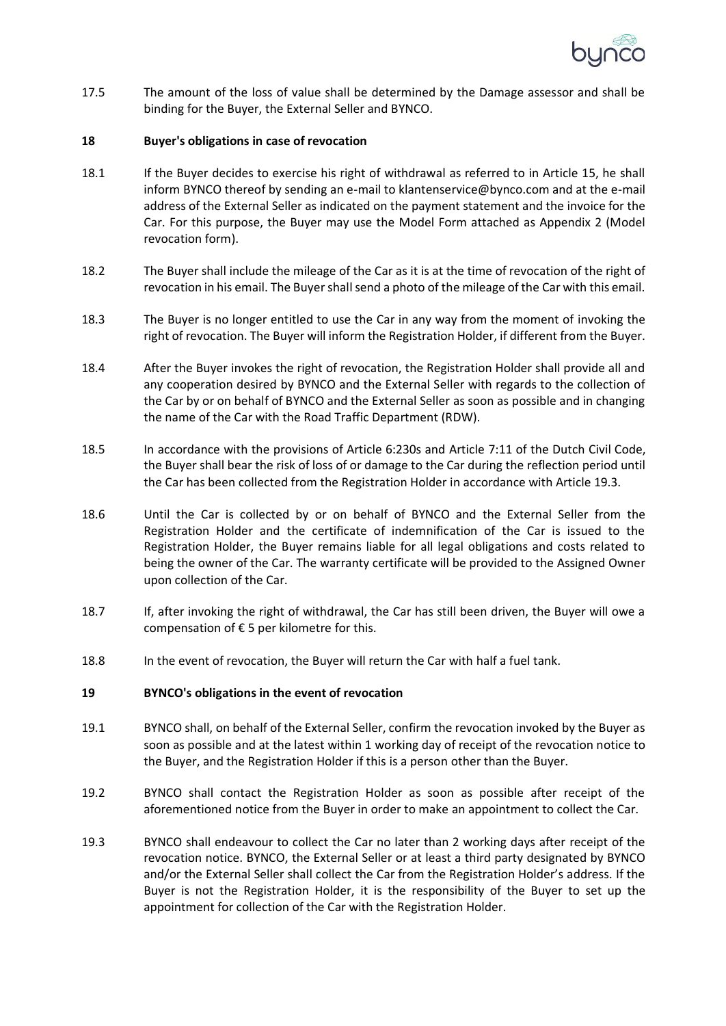

17.5 The amount of the loss of value shall be determined by the Damage assessor and shall be binding for the Buyer, the External Seller and BYNCO.

#### **18 Buyer's obligations in case of revocation**

- 18.1 If the Buyer decides to exercise his right of withdrawal as referred to in Article 15, he shall inform BYNCO thereof by sending an e-mail to klantenservice@bynco.com and at the e-mail address of the External Seller as indicated on the payment statement and the invoice for the Car. For this purpose, the Buyer may use the Model Form attached as Appendix 2 (Model revocation form).
- 18.2 The Buyer shall include the mileage of the Car as it is at the time of revocation of the right of revocation in his email. The Buyer shall send a photo of the mileage of the Car with this email.
- 18.3 The Buyer is no longer entitled to use the Car in any way from the moment of invoking the right of revocation. The Buyer will inform the Registration Holder, if different from the Buyer.
- 18.4 After the Buyer invokes the right of revocation, the Registration Holder shall provide all and any cooperation desired by BYNCO and the External Seller with regards to the collection of the Car by or on behalf of BYNCO and the External Seller as soon as possible and in changing the name of the Car with the Road Traffic Department (RDW).
- 18.5 In accordance with the provisions of Article 6:230s and Article 7:11 of the Dutch Civil Code, the Buyer shall bear the risk of loss of or damage to the Car during the reflection period until the Car has been collected from the Registration Holder in accordance with Article 19.3.
- 18.6 Until the Car is collected by or on behalf of BYNCO and the External Seller from the Registration Holder and the certificate of indemnification of the Car is issued to the Registration Holder, the Buyer remains liable for all legal obligations and costs related to being the owner of the Car. The warranty certificate will be provided to the Assigned Owner upon collection of the Car.
- 18.7 If, after invoking the right of withdrawal, the Car has still been driven, the Buyer will owe a compensation of € 5 per kilometre for this.
- 18.8 In the event of revocation, the Buyer will return the Car with half a fuel tank.

#### **19 BYNCO's obligations in the event of revocation**

- 19.1 BYNCO shall, on behalf of the External Seller, confirm the revocation invoked by the Buyer as soon as possible and at the latest within 1 working day of receipt of the revocation notice to the Buyer, and the Registration Holder if this is a person other than the Buyer.
- 19.2 BYNCO shall contact the Registration Holder as soon as possible after receipt of the aforementioned notice from the Buyer in order to make an appointment to collect the Car.
- 19.3 BYNCO shall endeavour to collect the Car no later than 2 working days after receipt of the revocation notice. BYNCO, the External Seller or at least a third party designated by BYNCO and/or the External Seller shall collect the Car from the Registration Holder's address. If the Buyer is not the Registration Holder, it is the responsibility of the Buyer to set up the appointment for collection of the Car with the Registration Holder.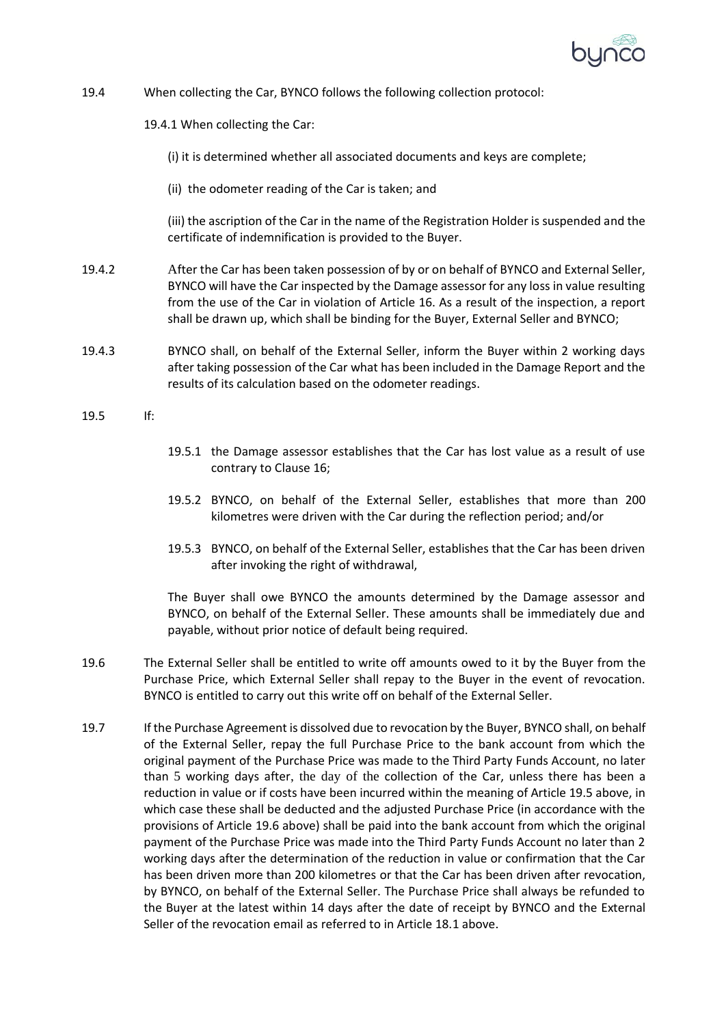

19.4 When collecting the Car, BYNCO follows the following collection protocol:

19.4.1 When collecting the Car:

- (i) it is determined whether all associated documents and keys are complete;
- (ii) the odometer reading of the Car is taken; and

(iii) the ascription of the Car in the name of the Registration Holder is suspended and the certificate of indemnification is provided to the Buyer.

- 19.4.2 After the Car has been taken possession of by or on behalf of BYNCO and External Seller, BYNCO will have the Car inspected by the Damage assessor for any loss in value resulting from the use of the Car in violation of Article 16. As a result of the inspection, a report shall be drawn up, which shall be binding for the Buyer, External Seller and BYNCO;
- 19.4.3 BYNCO shall, on behalf of the External Seller, inform the Buyer within 2 working days after taking possession of the Car what has been included in the Damage Report and the results of its calculation based on the odometer readings.
- 19.5 If:
- 19.5.1 the Damage assessor establishes that the Car has lost value as a result of use contrary to Clause 16;
- 19.5.2 BYNCO, on behalf of the External Seller, establishes that more than 200 kilometres were driven with the Car during the reflection period; and/or
- 19.5.3 BYNCO, on behalf of the External Seller, establishes that the Car has been driven after invoking the right of withdrawal,

The Buyer shall owe BYNCO the amounts determined by the Damage assessor and BYNCO, on behalf of the External Seller. These amounts shall be immediately due and payable, without prior notice of default being required.

- 19.6 The External Seller shall be entitled to write off amounts owed to it by the Buyer from the Purchase Price, which External Seller shall repay to the Buyer in the event of revocation. BYNCO is entitled to carry out this write off on behalf of the External Seller.
- 19.7 If the Purchase Agreement is dissolved due to revocation by the Buyer, BYNCO shall, on behalf of the External Seller, repay the full Purchase Price to the bank account from which the original payment of the Purchase Price was made to the Third Party Funds Account, no later than 5 working days after, the day of the collection of the Car, unless there has been a reduction in value or if costs have been incurred within the meaning of Article 19.5 above, in which case these shall be deducted and the adjusted Purchase Price (in accordance with the provisions of Article 19.6 above) shall be paid into the bank account from which the original payment of the Purchase Price was made into the Third Party Funds Account no later than 2 working days after the determination of the reduction in value or confirmation that the Car has been driven more than 200 kilometres or that the Car has been driven after revocation, by BYNCO, on behalf of the External Seller. The Purchase Price shall always be refunded to the Buyer at the latest within 14 days after the date of receipt by BYNCO and the External Seller of the revocation email as referred to in Article 18.1 above.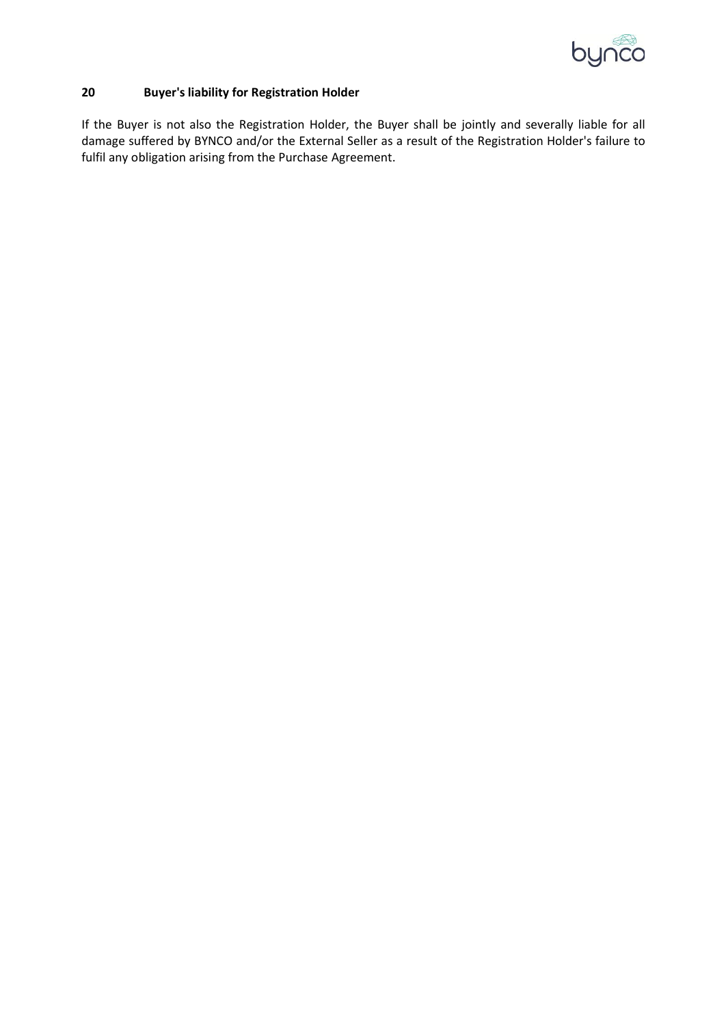

# **20 Buyer's liability for Registration Holder**

If the Buyer is not also the Registration Holder, the Buyer shall be jointly and severally liable for all damage suffered by BYNCO and/or the External Seller as a result of the Registration Holder's failure to fulfil any obligation arising from the Purchase Agreement.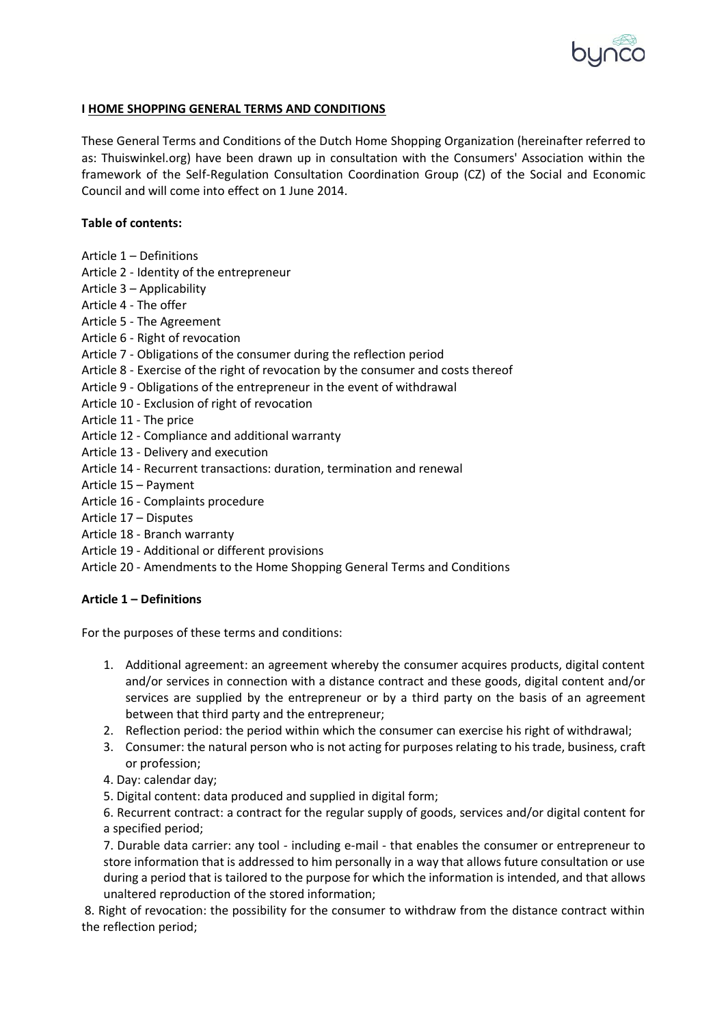

# **I HOME SHOPPING GENERAL TERMS AND CONDITIONS**

These General Terms and Conditions of the Dutch Home Shopping Organization (hereinafter referred to as: Thuiswinkel.org) have been drawn up in consultation with the Consumers' Association within the framework of the Self-Regulation Consultation Coordination Group (CZ) of the Social and Economic Council and will come into effect on 1 June 2014.

# **Table of contents:**

- Article 1 Definitions
- Article 2 Identity of the entrepreneur
- Article 3 Applicability
- Article 4 The offer
- Article 5 The Agreement
- Article 6 Right of revocation
- Article 7 Obligations of the consumer during the reflection period
- Article 8 Exercise of the right of revocation by the consumer and costs thereof
- Article 9 Obligations of the entrepreneur in the event of withdrawal
- Article 10 Exclusion of right of revocation
- Article 11 The price
- Article 12 Compliance and additional warranty
- Article 13 Delivery and execution
- Article 14 Recurrent transactions: duration, termination and renewal
- Article 15 Payment
- Article 16 Complaints procedure
- Article 17 Disputes
- Article 18 Branch warranty
- Article 19 Additional or different provisions
- Article 20 Amendments to the Home Shopping General Terms and Conditions

## **Article 1 – Definitions**

For the purposes of these terms and conditions:

- 1. Additional agreement: an agreement whereby the consumer acquires products, digital content and/or services in connection with a distance contract and these goods, digital content and/or services are supplied by the entrepreneur or by a third party on the basis of an agreement between that third party and the entrepreneur;
- 2. Reflection period: the period within which the consumer can exercise his right of withdrawal;
- 3. Consumer: the natural person who is not acting for purposes relating to his trade, business, craft or profession;
- 4. Day: calendar day;
- 5. Digital content: data produced and supplied in digital form;

6. Recurrent contract: a contract for the regular supply of goods, services and/or digital content for a specified period;

7. Durable data carrier: any tool - including e-mail - that enables the consumer or entrepreneur to store information that is addressed to him personally in a way that allows future consultation or use during a period that is tailored to the purpose for which the information is intended, and that allows unaltered reproduction of the stored information;

8. Right of revocation: the possibility for the consumer to withdraw from the distance contract within the reflection period;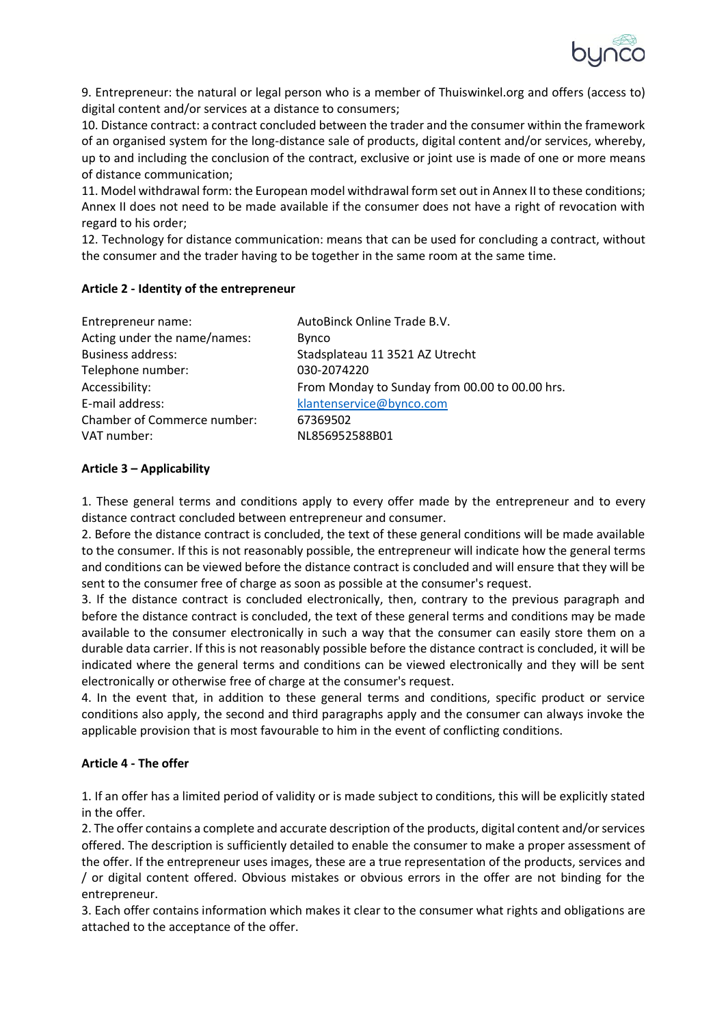

9. Entrepreneur: the natural or legal person who is a member of Thuiswinkel.org and offers (access to) digital content and/or services at a distance to consumers;

10. Distance contract: a contract concluded between the trader and the consumer within the framework of an organised system for the long-distance sale of products, digital content and/or services, whereby, up to and including the conclusion of the contract, exclusive or joint use is made of one or more means of distance communication;

11. Model withdrawal form: the European model withdrawal form set out in Annex II to these conditions; Annex II does not need to be made available if the consumer does not have a right of revocation with regard to his order;

12. Technology for distance communication: means that can be used for concluding a contract, without the consumer and the trader having to be together in the same room at the same time.

# **Article 2 - Identity of the entrepreneur**

| Entrepreneur name:           | AutoBinck Online Trade B.V.                    |  |  |
|------------------------------|------------------------------------------------|--|--|
| Acting under the name/names: | <b>Bynco</b>                                   |  |  |
| <b>Business address:</b>     | Stadsplateau 11 3521 AZ Utrecht                |  |  |
| Telephone number:            | 030-2074220                                    |  |  |
| Accessibility:               | From Monday to Sunday from 00.00 to 00.00 hrs. |  |  |
| E-mail address:              | klantenservice@bynco.com                       |  |  |
| Chamber of Commerce number:  | 67369502                                       |  |  |
| VAT number:                  | NL856952588B01                                 |  |  |

# **Article 3 – Applicability**

1. These general terms and conditions apply to every offer made by the entrepreneur and to every distance contract concluded between entrepreneur and consumer.

2. Before the distance contract is concluded, the text of these general conditions will be made available to the consumer. If this is not reasonably possible, the entrepreneur will indicate how the general terms and conditions can be viewed before the distance contract is concluded and will ensure that they will be sent to the consumer free of charge as soon as possible at the consumer's request.

3. If the distance contract is concluded electronically, then, contrary to the previous paragraph and before the distance contract is concluded, the text of these general terms and conditions may be made available to the consumer electronically in such a way that the consumer can easily store them on a durable data carrier. If this is not reasonably possible before the distance contract is concluded, it will be indicated where the general terms and conditions can be viewed electronically and they will be sent electronically or otherwise free of charge at the consumer's request.

4. In the event that, in addition to these general terms and conditions, specific product or service conditions also apply, the second and third paragraphs apply and the consumer can always invoke the applicable provision that is most favourable to him in the event of conflicting conditions.

## **Article 4 - The offer**

1. If an offer has a limited period of validity or is made subject to conditions, this will be explicitly stated in the offer.

2. The offer contains a complete and accurate description of the products, digital content and/or services offered. The description is sufficiently detailed to enable the consumer to make a proper assessment of the offer. If the entrepreneur uses images, these are a true representation of the products, services and / or digital content offered. Obvious mistakes or obvious errors in the offer are not binding for the entrepreneur.

3. Each offer contains information which makes it clear to the consumer what rights and obligations are attached to the acceptance of the offer.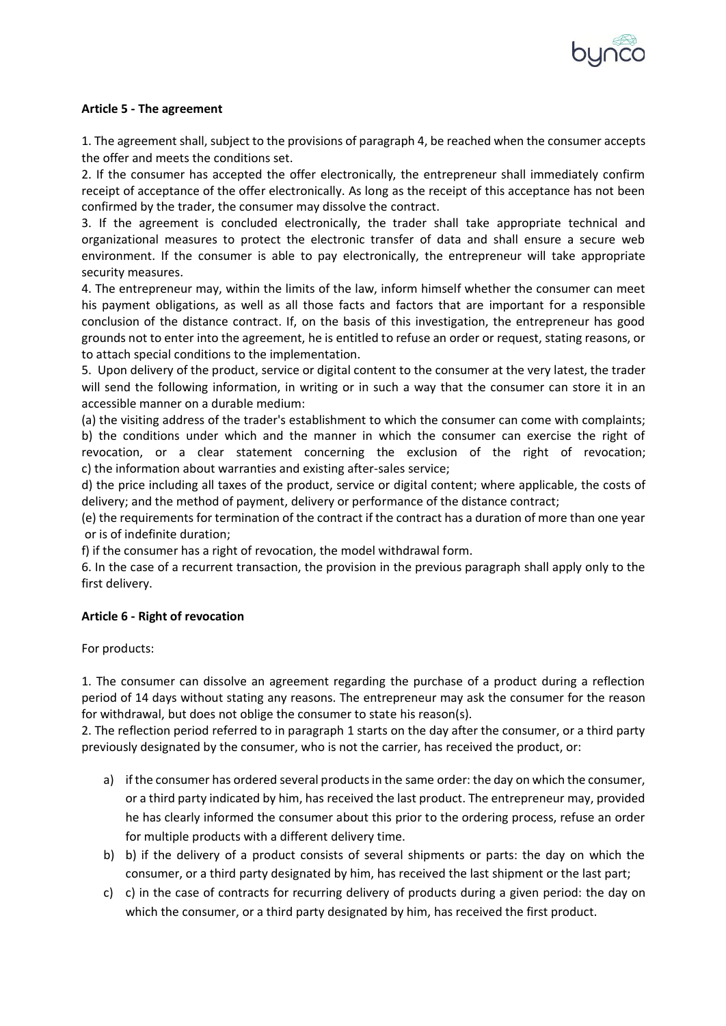

# **Article 5 - The agreement**

1. The agreement shall, subject to the provisions of paragraph 4, be reached when the consumer accepts the offer and meets the conditions set.

2. If the consumer has accepted the offer electronically, the entrepreneur shall immediately confirm receipt of acceptance of the offer electronically. As long as the receipt of this acceptance has not been confirmed by the trader, the consumer may dissolve the contract.

3. If the agreement is concluded electronically, the trader shall take appropriate technical and organizational measures to protect the electronic transfer of data and shall ensure a secure web environment. If the consumer is able to pay electronically, the entrepreneur will take appropriate security measures.

4. The entrepreneur may, within the limits of the law, inform himself whether the consumer can meet his payment obligations, as well as all those facts and factors that are important for a responsible conclusion of the distance contract. If, on the basis of this investigation, the entrepreneur has good grounds not to enter into the agreement, he is entitled to refuse an order or request, stating reasons, or to attach special conditions to the implementation.

5. Upon delivery of the product, service or digital content to the consumer at the very latest, the trader will send the following information, in writing or in such a way that the consumer can store it in an accessible manner on a durable medium:

(a) the visiting address of the trader's establishment to which the consumer can come with complaints; b) the conditions under which and the manner in which the consumer can exercise the right of revocation, or a clear statement concerning the exclusion of the right of revocation; c) the information about warranties and existing after-sales service;

d) the price including all taxes of the product, service or digital content; where applicable, the costs of delivery; and the method of payment, delivery or performance of the distance contract;

(e) the requirements for termination of the contract if the contract has a duration of more than one year or is of indefinite duration;

f) if the consumer has a right of revocation, the model withdrawal form.

6. In the case of a recurrent transaction, the provision in the previous paragraph shall apply only to the first delivery.

## **Article 6 - Right of revocation**

For products:

1. The consumer can dissolve an agreement regarding the purchase of a product during a reflection period of 14 days without stating any reasons. The entrepreneur may ask the consumer for the reason for withdrawal, but does not oblige the consumer to state his reason(s).

2. The reflection period referred to in paragraph 1 starts on the day after the consumer, or a third party previously designated by the consumer, who is not the carrier, has received the product, or:

- a) if the consumer has ordered several products in the same order: the day on which the consumer, or a third party indicated by him, has received the last product. The entrepreneur may, provided he has clearly informed the consumer about this prior to the ordering process, refuse an order for multiple products with a different delivery time.
- b) b) if the delivery of a product consists of several shipments or parts: the day on which the consumer, or a third party designated by him, has received the last shipment or the last part;
- c) c) in the case of contracts for recurring delivery of products during a given period: the day on which the consumer, or a third party designated by him, has received the first product.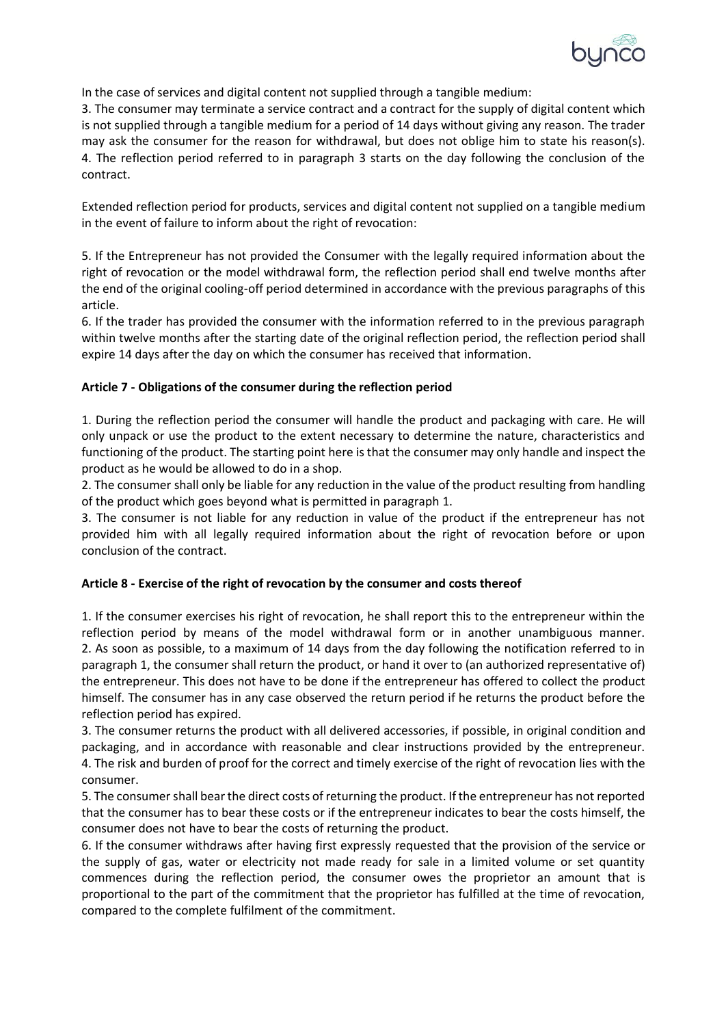

In the case of services and digital content not supplied through a tangible medium:

3. The consumer may terminate a service contract and a contract for the supply of digital content which is not supplied through a tangible medium for a period of 14 days without giving any reason. The trader may ask the consumer for the reason for withdrawal, but does not oblige him to state his reason(s). 4. The reflection period referred to in paragraph 3 starts on the day following the conclusion of the contract.

Extended reflection period for products, services and digital content not supplied on a tangible medium in the event of failure to inform about the right of revocation:

5. If the Entrepreneur has not provided the Consumer with the legally required information about the right of revocation or the model withdrawal form, the reflection period shall end twelve months after the end of the original cooling-off period determined in accordance with the previous paragraphs of this article.

6. If the trader has provided the consumer with the information referred to in the previous paragraph within twelve months after the starting date of the original reflection period, the reflection period shall expire 14 days after the day on which the consumer has received that information.

# **Article 7 - Obligations of the consumer during the reflection period**

1. During the reflection period the consumer will handle the product and packaging with care. He will only unpack or use the product to the extent necessary to determine the nature, characteristics and functioning of the product. The starting point here is that the consumer may only handle and inspect the product as he would be allowed to do in a shop.

2. The consumer shall only be liable for any reduction in the value of the product resulting from handling of the product which goes beyond what is permitted in paragraph 1.

3. The consumer is not liable for any reduction in value of the product if the entrepreneur has not provided him with all legally required information about the right of revocation before or upon conclusion of the contract.

## **Article 8 - Exercise of the right of revocation by the consumer and costs thereof**

1. If the consumer exercises his right of revocation, he shall report this to the entrepreneur within the reflection period by means of the model withdrawal form or in another unambiguous manner. 2. As soon as possible, to a maximum of 14 days from the day following the notification referred to in paragraph 1, the consumer shall return the product, or hand it over to (an authorized representative of) the entrepreneur. This does not have to be done if the entrepreneur has offered to collect the product himself. The consumer has in any case observed the return period if he returns the product before the reflection period has expired.

3. The consumer returns the product with all delivered accessories, if possible, in original condition and packaging, and in accordance with reasonable and clear instructions provided by the entrepreneur. 4. The risk and burden of proof for the correct and timely exercise of the right of revocation lies with the consumer.

5. The consumer shall bear the direct costs of returning the product. If the entrepreneur has not reported that the consumer has to bear these costs or if the entrepreneur indicates to bear the costs himself, the consumer does not have to bear the costs of returning the product.

6. If the consumer withdraws after having first expressly requested that the provision of the service or the supply of gas, water or electricity not made ready for sale in a limited volume or set quantity commences during the reflection period, the consumer owes the proprietor an amount that is proportional to the part of the commitment that the proprietor has fulfilled at the time of revocation, compared to the complete fulfilment of the commitment.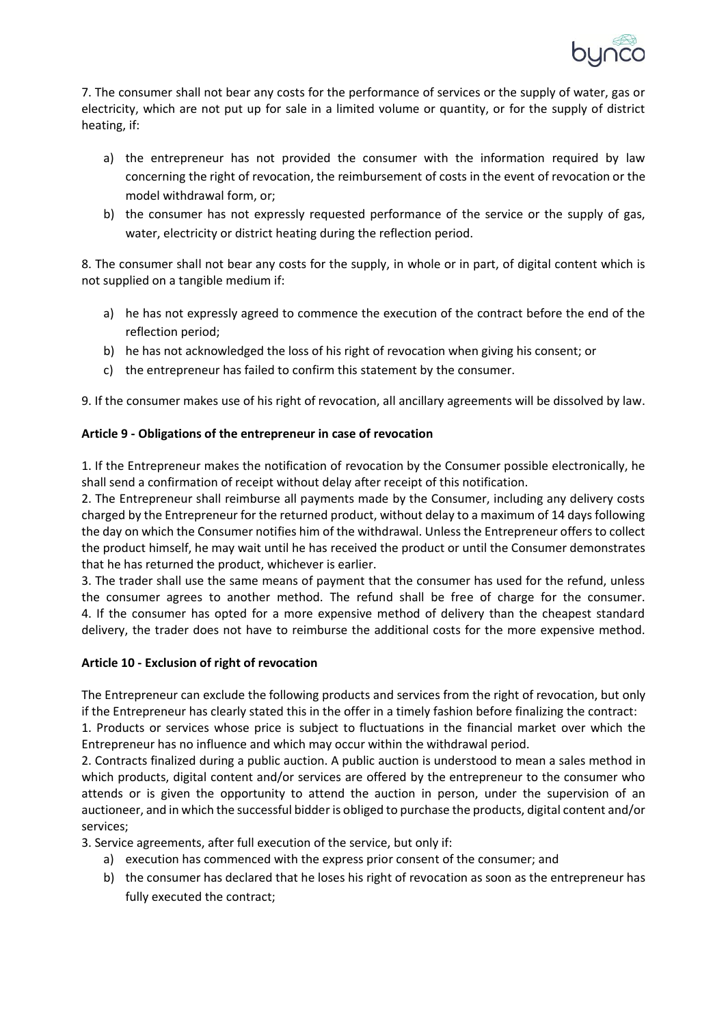

7. The consumer shall not bear any costs for the performance of services or the supply of water, gas or electricity, which are not put up for sale in a limited volume or quantity, or for the supply of district heating, if:

- a) the entrepreneur has not provided the consumer with the information required by law concerning the right of revocation, the reimbursement of costs in the event of revocation or the model withdrawal form, or;
- b) the consumer has not expressly requested performance of the service or the supply of gas, water, electricity or district heating during the reflection period.

8. The consumer shall not bear any costs for the supply, in whole or in part, of digital content which is not supplied on a tangible medium if:

- a) he has not expressly agreed to commence the execution of the contract before the end of the reflection period;
- b) he has not acknowledged the loss of his right of revocation when giving his consent; or
- c) the entrepreneur has failed to confirm this statement by the consumer.

9. If the consumer makes use of his right of revocation, all ancillary agreements will be dissolved by law.

# **Article 9 - Obligations of the entrepreneur in case of revocation**

1. If the Entrepreneur makes the notification of revocation by the Consumer possible electronically, he shall send a confirmation of receipt without delay after receipt of this notification.

2. The Entrepreneur shall reimburse all payments made by the Consumer, including any delivery costs charged by the Entrepreneur for the returned product, without delay to a maximum of 14 days following the day on which the Consumer notifies him of the withdrawal. Unless the Entrepreneur offers to collect the product himself, he may wait until he has received the product or until the Consumer demonstrates that he has returned the product, whichever is earlier.

3. The trader shall use the same means of payment that the consumer has used for the refund, unless the consumer agrees to another method. The refund shall be free of charge for the consumer. 4. If the consumer has opted for a more expensive method of delivery than the cheapest standard delivery, the trader does not have to reimburse the additional costs for the more expensive method.

# **Article 10 - Exclusion of right of revocation**

The Entrepreneur can exclude the following products and services from the right of revocation, but only if the Entrepreneur has clearly stated this in the offer in a timely fashion before finalizing the contract:

1. Products or services whose price is subject to fluctuations in the financial market over which the Entrepreneur has no influence and which may occur within the withdrawal period.

2. Contracts finalized during a public auction. A public auction is understood to mean a sales method in which products, digital content and/or services are offered by the entrepreneur to the consumer who attends or is given the opportunity to attend the auction in person, under the supervision of an auctioneer, and in which the successful bidder is obliged to purchase the products, digital content and/or services;

3. Service agreements, after full execution of the service, but only if:

- a) execution has commenced with the express prior consent of the consumer; and
- b) the consumer has declared that he loses his right of revocation as soon as the entrepreneur has fully executed the contract;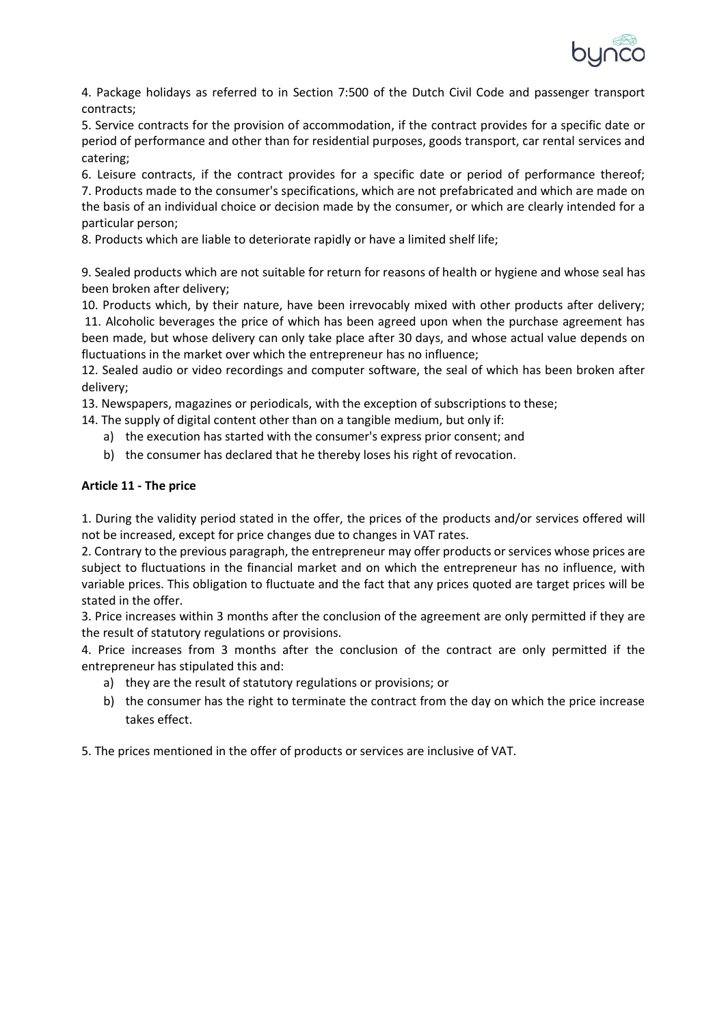

4. Package holidays as referred to in Section 7:500 of the Dutch Civil Code and passenger transport contracts;

5. Service contracts for the provision of accommodation, if the contract provides for a specific date or period of performance and other than for residential purposes, goods transport, car rental services and catering;

6. Leisure contracts, if the contract provides for a specific date or period of performance thereof; 7. Products made to the consumer's specifications, which are not prefabricated and which are made on the basis of an individual choice or decision made by the consumer, or which are clearly intended for a particular person;

8. Products which are liable to deteriorate rapidly or have a limited shelf life;

9. Sealed products which are not suitable for return for reasons of health or hygiene and whose seal has been broken after delivery;

10. Products which, by their nature, have been irrevocably mixed with other products after delivery; 11. Alcoholic beverages the price of which has been agreed upon when the purchase agreement has been made, but whose delivery can only take place after 30 days, and whose actual value depends on fluctuations in the market over which the entrepreneur has no influence;

12. Sealed audio or video recordings and computer software, the seal of which has been broken after delivery;

13. Newspapers, magazines or periodicals, with the exception of subscriptions to these;

14. The supply of digital content other than on a tangible medium, but only if:

- a) the execution has started with the consumer's express prior consent; and
- b) the consumer has declared that he thereby loses his right of revocation.

## **Article 11 - The price**

1. During the validity period stated in the offer, the prices of the products and/or services offered will not be increased, except for price changes due to changes in VAT rates.

2. Contrary to the previous paragraph, the entrepreneur may offer products or services whose prices are subject to fluctuations in the financial market and on which the entrepreneur has no influence, with variable prices. This obligation to fluctuate and the fact that any prices quoted are target prices will be stated in the offer.

3. Price increases within 3 months after the conclusion of the agreement are only permitted if they are the result of statutory regulations or provisions.

4. Price increases from 3 months after the conclusion of the contract are only permitted if the entrepreneur has stipulated this and:

- a) they are the result of statutory regulations or provisions; or
- b) the consumer has the right to terminate the contract from the day on which the price increase takes effect.

5. The prices mentioned in the offer of products or services are inclusive of VAT.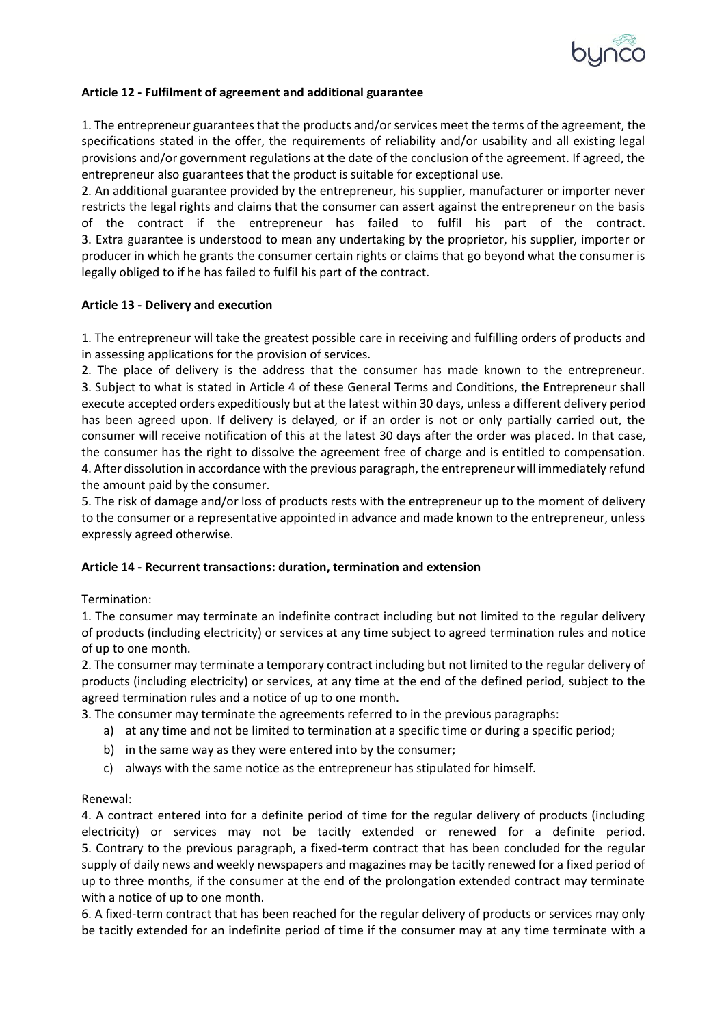

## **Article 12 - Fulfilment of agreement and additional guarantee**

1. The entrepreneur guarantees that the products and/or services meet the terms of the agreement, the specifications stated in the offer, the requirements of reliability and/or usability and all existing legal provisions and/or government regulations at the date of the conclusion of the agreement. If agreed, the entrepreneur also guarantees that the product is suitable for exceptional use.

2. An additional guarantee provided by the entrepreneur, his supplier, manufacturer or importer never restricts the legal rights and claims that the consumer can assert against the entrepreneur on the basis of the contract if the entrepreneur has failed to fulfil his part of the contract. 3. Extra guarantee is understood to mean any undertaking by the proprietor, his supplier, importer or producer in which he grants the consumer certain rights or claims that go beyond what the consumer is legally obliged to if he has failed to fulfil his part of the contract.

## **Article 13 - Delivery and execution**

1. The entrepreneur will take the greatest possible care in receiving and fulfilling orders of products and in assessing applications for the provision of services.

2. The place of delivery is the address that the consumer has made known to the entrepreneur. 3. Subject to what is stated in Article 4 of these General Terms and Conditions, the Entrepreneur shall execute accepted orders expeditiously but at the latest within 30 days, unless a different delivery period has been agreed upon. If delivery is delayed, or if an order is not or only partially carried out, the consumer will receive notification of this at the latest 30 days after the order was placed. In that case, the consumer has the right to dissolve the agreement free of charge and is entitled to compensation. 4. After dissolution in accordance with the previous paragraph, the entrepreneur will immediately refund the amount paid by the consumer.

5. The risk of damage and/or loss of products rests with the entrepreneur up to the moment of delivery to the consumer or a representative appointed in advance and made known to the entrepreneur, unless expressly agreed otherwise.

## **Article 14 - Recurrent transactions: duration, termination and extension**

## Termination:

1. The consumer may terminate an indefinite contract including but not limited to the regular delivery of products (including electricity) or services at any time subject to agreed termination rules and notice of up to one month.

2. The consumer may terminate a temporary contract including but not limited to the regular delivery of products (including electricity) or services, at any time at the end of the defined period, subject to the agreed termination rules and a notice of up to one month.

3. The consumer may terminate the agreements referred to in the previous paragraphs:

- a) at any time and not be limited to termination at a specific time or during a specific period;
- b) in the same way as they were entered into by the consumer;
- c) always with the same notice as the entrepreneur has stipulated for himself.

## Renewal:

4. A contract entered into for a definite period of time for the regular delivery of products (including electricity) or services may not be tacitly extended or renewed for a definite period. 5. Contrary to the previous paragraph, a fixed-term contract that has been concluded for the regular supply of daily news and weekly newspapers and magazines may be tacitly renewed for a fixed period of up to three months, if the consumer at the end of the prolongation extended contract may terminate with a notice of up to one month.

6. A fixed-term contract that has been reached for the regular delivery of products or services may only be tacitly extended for an indefinite period of time if the consumer may at any time terminate with a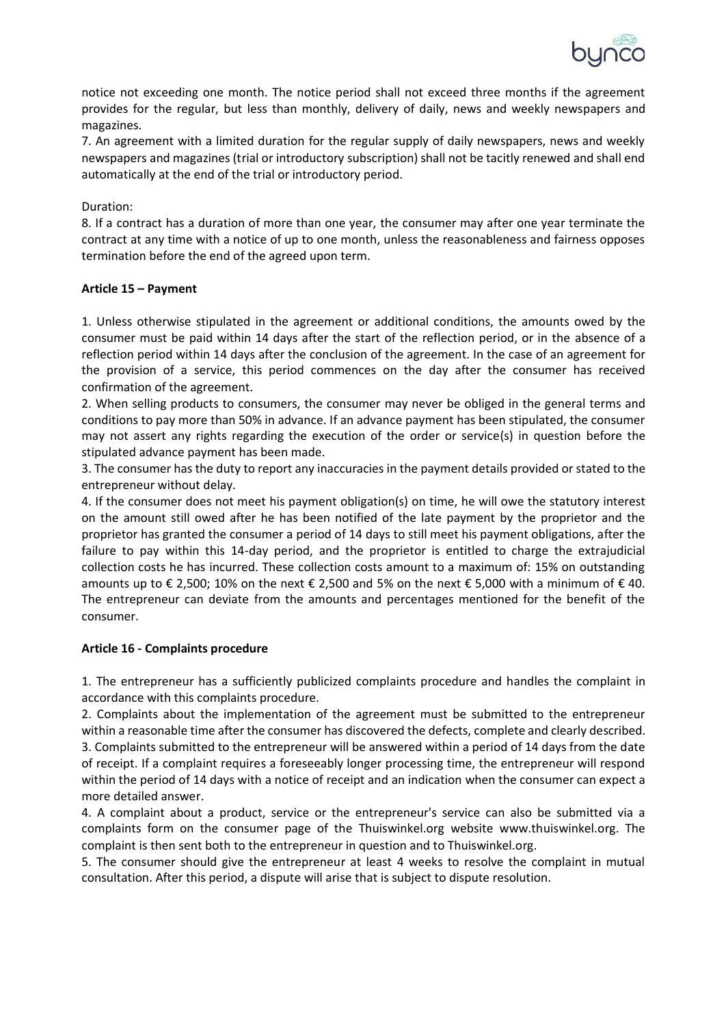

notice not exceeding one month. The notice period shall not exceed three months if the agreement provides for the regular, but less than monthly, delivery of daily, news and weekly newspapers and magazines.

7. An agreement with a limited duration for the regular supply of daily newspapers, news and weekly newspapers and magazines (trial or introductory subscription) shall not be tacitly renewed and shall end automatically at the end of the trial or introductory period.

# Duration:

8. If a contract has a duration of more than one year, the consumer may after one year terminate the contract at any time with a notice of up to one month, unless the reasonableness and fairness opposes termination before the end of the agreed upon term.

## **Article 15 – Payment**

1. Unless otherwise stipulated in the agreement or additional conditions, the amounts owed by the consumer must be paid within 14 days after the start of the reflection period, or in the absence of a reflection period within 14 days after the conclusion of the agreement. In the case of an agreement for the provision of a service, this period commences on the day after the consumer has received confirmation of the agreement.

2. When selling products to consumers, the consumer may never be obliged in the general terms and conditions to pay more than 50% in advance. If an advance payment has been stipulated, the consumer may not assert any rights regarding the execution of the order or service(s) in question before the stipulated advance payment has been made.

3. The consumer has the duty to report any inaccuracies in the payment details provided or stated to the entrepreneur without delay.

4. If the consumer does not meet his payment obligation(s) on time, he will owe the statutory interest on the amount still owed after he has been notified of the late payment by the proprietor and the proprietor has granted the consumer a period of 14 days to still meet his payment obligations, after the failure to pay within this 14-day period, and the proprietor is entitled to charge the extrajudicial collection costs he has incurred. These collection costs amount to a maximum of: 15% on outstanding amounts up to  $\epsilon$  2,500; 10% on the next  $\epsilon$  2,500 and 5% on the next  $\epsilon$  5,000 with a minimum of  $\epsilon$  40. The entrepreneur can deviate from the amounts and percentages mentioned for the benefit of the consumer.

## **Article 16 - Complaints procedure**

1. The entrepreneur has a sufficiently publicized complaints procedure and handles the complaint in accordance with this complaints procedure.

2. Complaints about the implementation of the agreement must be submitted to the entrepreneur within a reasonable time after the consumer has discovered the defects, complete and clearly described. 3. Complaints submitted to the entrepreneur will be answered within a period of 14 days from the date of receipt. If a complaint requires a foreseeably longer processing time, the entrepreneur will respond within the period of 14 days with a notice of receipt and an indication when the consumer can expect a more detailed answer.

4. A complaint about a product, service or the entrepreneur's service can also be submitted via a complaints form on the consumer page of the Thuiswinkel.org website www.thuiswinkel.org. The complaint is then sent both to the entrepreneur in question and to Thuiswinkel.org.

5. The consumer should give the entrepreneur at least 4 weeks to resolve the complaint in mutual consultation. After this period, a dispute will arise that is subject to dispute resolution.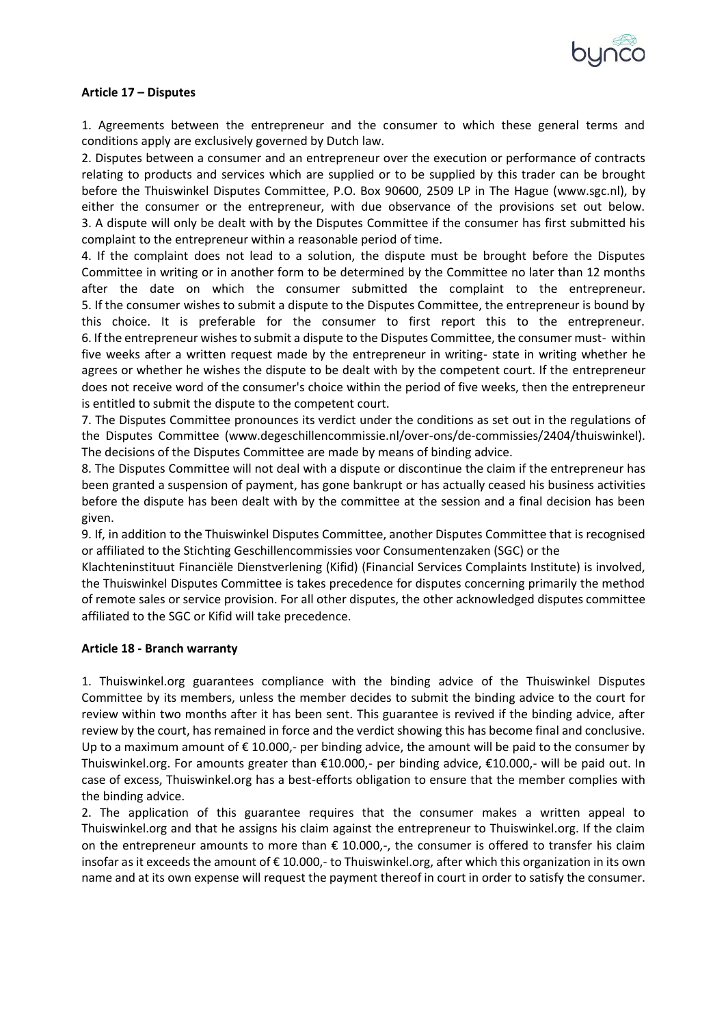

## **Article 17 – Disputes**

1. Agreements between the entrepreneur and the consumer to which these general terms and conditions apply are exclusively governed by Dutch law.

2. Disputes between a consumer and an entrepreneur over the execution or performance of contracts relating to products and services which are supplied or to be supplied by this trader can be brought before the Thuiswinkel Disputes Committee, P.O. Box 90600, 2509 LP in The Hague (www.sgc.nl), by either the consumer or the entrepreneur, with due observance of the provisions set out below. 3. A dispute will only be dealt with by the Disputes Committee if the consumer has first submitted his complaint to the entrepreneur within a reasonable period of time.

4. If the complaint does not lead to a solution, the dispute must be brought before the Disputes Committee in writing or in another form to be determined by the Committee no later than 12 months after the date on which the consumer submitted the complaint to the entrepreneur. 5. If the consumer wishes to submit a dispute to the Disputes Committee, the entrepreneur is bound by this choice. It is preferable for the consumer to first report this to the entrepreneur. 6. If the entrepreneur wishes to submit a dispute to the Disputes Committee, the consumer must- within five weeks after a written request made by the entrepreneur in writing- state in writing whether he agrees or whether he wishes the dispute to be dealt with by the competent court. If the entrepreneur does not receive word of the consumer's choice within the period of five weeks, then the entrepreneur is entitled to submit the dispute to the competent court.

7. The Disputes Committee pronounces its verdict under the conditions as set out in the regulations of the Disputes Committee (www.degeschillencommissie.nl/over-ons/de-commissies/2404/thuiswinkel). The decisions of the Disputes Committee are made by means of binding advice.

8. The Disputes Committee will not deal with a dispute or discontinue the claim if the entrepreneur has been granted a suspension of payment, has gone bankrupt or has actually ceased his business activities before the dispute has been dealt with by the committee at the session and a final decision has been given.

9. If, in addition to the Thuiswinkel Disputes Committee, another Disputes Committee that is recognised or affiliated to the Stichting Geschillencommissies voor Consumentenzaken (SGC) or the

Klachteninstituut Financiële Dienstverlening (Kifid) (Financial Services Complaints Institute) is involved, the Thuiswinkel Disputes Committee is takes precedence for disputes concerning primarily the method of remote sales or service provision. For all other disputes, the other acknowledged disputes committee affiliated to the SGC or Kifid will take precedence.

#### **Article 18 - Branch warranty**

1. Thuiswinkel.org guarantees compliance with the binding advice of the Thuiswinkel Disputes Committee by its members, unless the member decides to submit the binding advice to the court for review within two months after it has been sent. This guarantee is revived if the binding advice, after review by the court, has remained in force and the verdict showing this has become final and conclusive. Up to a maximum amount of  $\epsilon$  10.000,- per binding advice, the amount will be paid to the consumer by Thuiswinkel.org. For amounts greater than €10.000,- per binding advice, €10.000,- will be paid out. In case of excess, Thuiswinkel.org has a best-efforts obligation to ensure that the member complies with the binding advice.

2. The application of this guarantee requires that the consumer makes a written appeal to Thuiswinkel.org and that he assigns his claim against the entrepreneur to Thuiswinkel.org. If the claim on the entrepreneur amounts to more than  $\epsilon$  10.000,-, the consumer is offered to transfer his claim insofar as it exceeds the amount of € 10.000,- to Thuiswinkel.org, after which this organization in its own name and at its own expense will request the payment thereof in court in order to satisfy the consumer.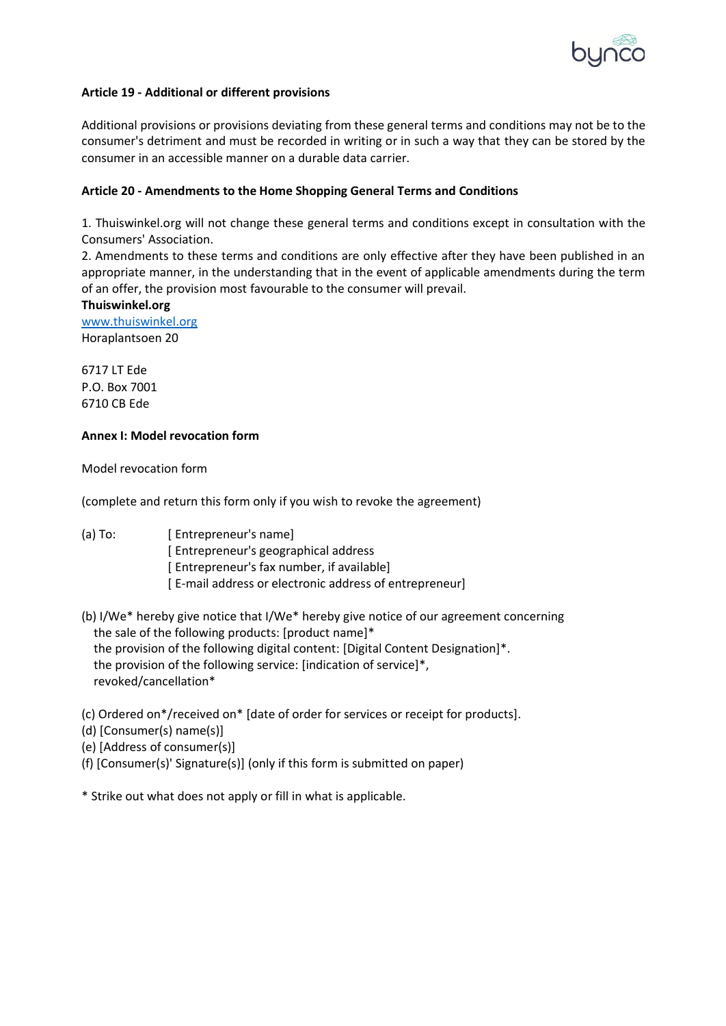

## **Article 19 - Additional or different provisions**

Additional provisions or provisions deviating from these general terms and conditions may not be to the consumer's detriment and must be recorded in writing or in such a way that they can be stored by the consumer in an accessible manner on a durable data carrier.

#### **Article 20 - Amendments to the Home Shopping General Terms and Conditions**

1. Thuiswinkel.org will not change these general terms and conditions except in consultation with the Consumers' Association.

2. Amendments to these terms and conditions are only effective after they have been published in an appropriate manner, in the understanding that in the event of applicable amendments during the term of an offer, the provision most favourable to the consumer will prevail.

#### **Thuiswinkel.org**

[www.thuiswinkel.org](http://www.thuiswinkel.org/) Horaplantsoen 20

6717 LT Ede P.O. Box 7001 6710 CB Ede

#### **Annex I: Model revocation form**

Model revocation form

(complete and return this form only if you wish to revoke the agreement)

- (a) To: [ Entrepreneur's name] [ Entrepreneur's geographical address [ Entrepreneur's fax number, if available] [ E-mail address or electronic address of entrepreneur]
- (b) I/We\* hereby give notice that I/We\* hereby give notice of our agreement concerning the sale of the following products: [product name]\* the provision of the following digital content: [Digital Content Designation]\*. the provision of the following service: [indication of service]\*, revoked/cancellation\*
- (c) Ordered on\*/received on\* [date of order for services or receipt for products].
- (d) [Consumer(s) name(s)]
- (e) [Address of consumer(s)]
- (f) [Consumer(s)' Signature(s)] (only if this form is submitted on paper)

\* Strike out what does not apply or fill in what is applicable.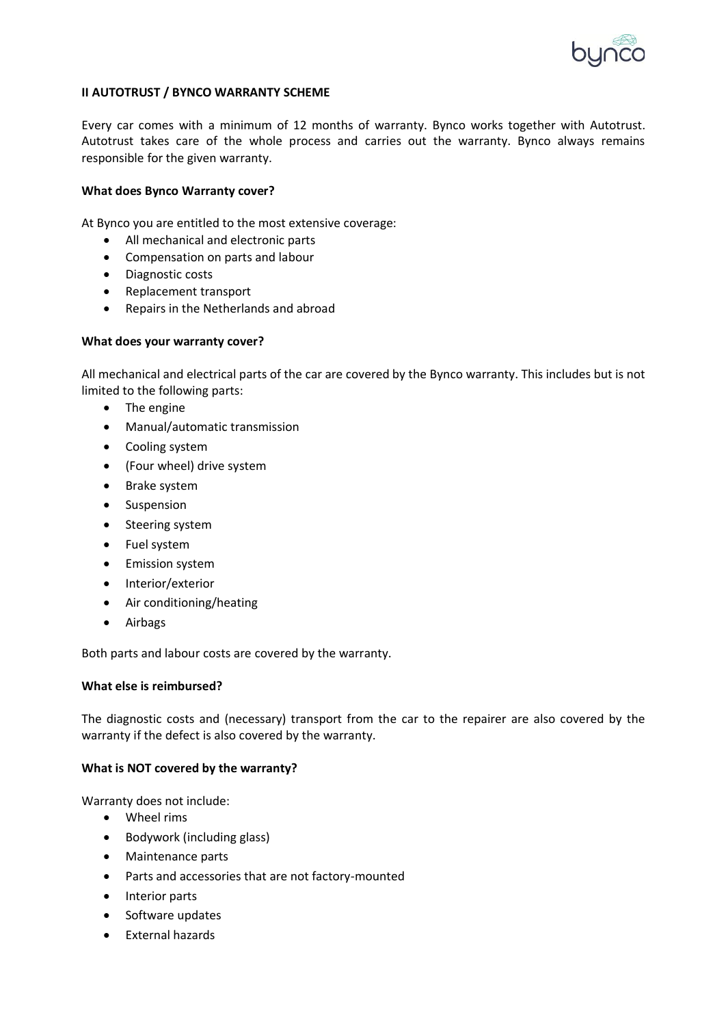

## **II AUTOTRUST / BYNCO WARRANTY SCHEME**

Every car comes with a minimum of 12 months of warranty. Bynco works together with Autotrust. Autotrust takes care of the whole process and carries out the warranty. Bynco always remains responsible for the given warranty.

#### **What does Bynco Warranty cover?**

At Bynco you are entitled to the most extensive coverage:

- All mechanical and electronic parts
- Compensation on parts and labour
- Diagnostic costs
- Replacement transport
- Repairs in the Netherlands and abroad

#### **What does your warranty cover?**

All mechanical and electrical parts of the car are covered by the Bynco warranty. This includes but is not limited to the following parts:

- The engine
- Manual/automatic transmission
- Cooling system
- (Four wheel) drive system
- Brake system
- **Suspension**
- Steering system
- Fuel system
- Emission system
- Interior/exterior
- Air conditioning/heating
- Airbags

Both parts and labour costs are covered by the warranty.

#### **What else is reimbursed?**

The diagnostic costs and (necessary) transport from the car to the repairer are also covered by the warranty if the defect is also covered by the warranty.

# **What is NOT covered by the warranty?**

Warranty does not include:

- Wheel rims
- Bodywork (including glass)
- Maintenance parts
- Parts and accessories that are not factory-mounted
- Interior parts
- Software updates
- External hazards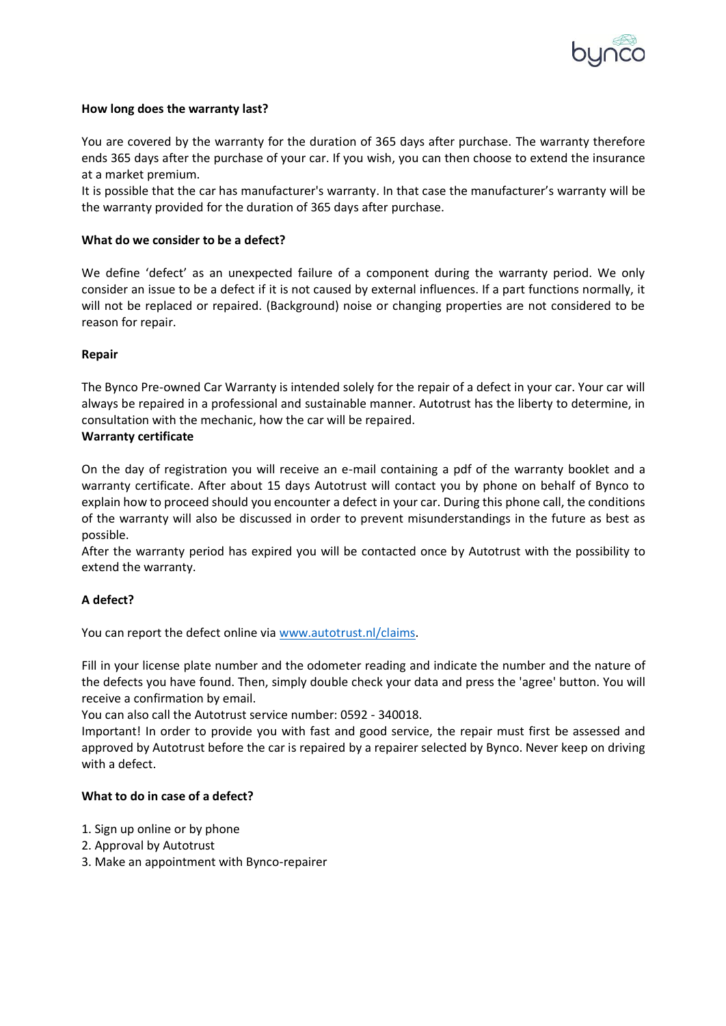

## **How long does the warranty last?**

You are covered by the warranty for the duration of 365 days after purchase. The warranty therefore ends 365 days after the purchase of your car. If you wish, you can then choose to extend the insurance at a market premium.

It is possible that the car has manufacturer's warranty. In that case the manufacturer's warranty will be the warranty provided for the duration of 365 days after purchase.

#### **What do we consider to be a defect?**

We define 'defect' as an unexpected failure of a component during the warranty period. We only consider an issue to be a defect if it is not caused by external influences. If a part functions normally, it will not be replaced or repaired. (Background) noise or changing properties are not considered to be reason for repair.

#### **Repair**

The Bynco Pre-owned Car Warranty is intended solely for the repair of a defect in your car. Your car will always be repaired in a professional and sustainable manner. Autotrust has the liberty to determine, in consultation with the mechanic, how the car will be repaired.

#### **Warranty certificate**

On the day of registration you will receive an e-mail containing a pdf of the warranty booklet and a warranty certificate. After about 15 days Autotrust will contact you by phone on behalf of Bynco to explain how to proceed should you encounter a defect in your car. During this phone call, the conditions of the warranty will also be discussed in order to prevent misunderstandings in the future as best as possible.

After the warranty period has expired you will be contacted once by Autotrust with the possibility to extend the warranty.

## **A defect?**

You can report the defect online via [www.autotrust.nl/claims.](http://www.autotrust.nl/claims)

Fill in your license plate number and the odometer reading and indicate the number and the nature of the defects you have found. Then, simply double check your data and press the 'agree' button. You will receive a confirmation by email.

You can also call the Autotrust service number: 0592 - 340018.

Important! In order to provide you with fast and good service, the repair must first be assessed and approved by Autotrust before the car is repaired by a repairer selected by Bynco. Never keep on driving with a defect.

#### **What to do in case of a defect?**

- 1. Sign up online or by phone
- 2. Approval by Autotrust
- 3. Make an appointment with Bynco-repairer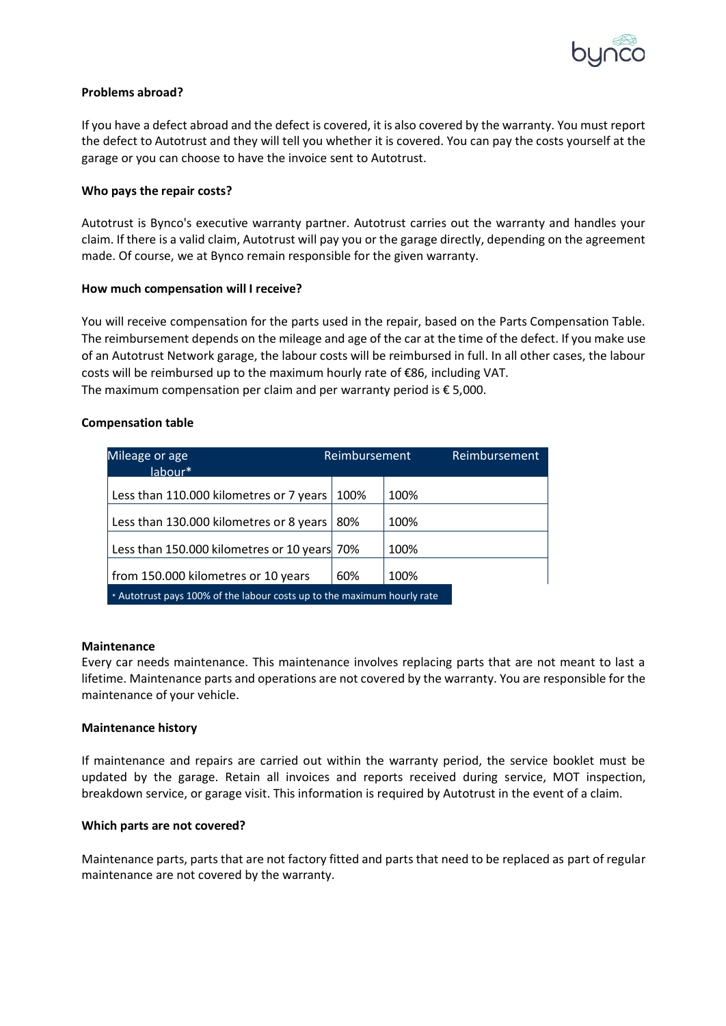

## **Problems abroad?**

If you have a defect abroad and the defect is covered, it is also covered by the warranty. You must report the defect to Autotrust and they will tell you whether it is covered. You can pay the costs yourself at the garage or you can choose to have the invoice sent to Autotrust.

#### **Who pays the repair costs?**

Autotrust is Bynco's executive warranty partner. Autotrust carries out the warranty and handles your claim. If there is a valid claim, Autotrust will pay you or the garage directly, depending on the agreement made. Of course, we at Bynco remain responsible for the given warranty.

#### **How much compensation will I receive?**

You will receive compensation for the parts used in the repair, based on the Parts Compensation Table. The reimbursement depends on the mileage and age of the car at the time of the defect. If you make use of an Autotrust Network garage, the labour costs will be reimbursed in full. In all other cases, the labour costs will be reimbursed up to the maximum hourly rate of €86, including VAT. The maximum compensation per claim and per warranty period is  $\epsilon$  5,000.

#### **Compensation table**

| Mileage or age<br>$l$ ahour $*$                                         | Reimbursement |      | Reimbursement |  |
|-------------------------------------------------------------------------|---------------|------|---------------|--|
| Less than 110.000 kilometres or 7 years                                 | 100%          | 100% |               |  |
| Less than 130.000 kilometres or 8 years                                 | 80%           | 100% |               |  |
| Less than 150.000 kilometres or 10 years 70%                            |               | 100% |               |  |
| from 150.000 kilometres or 10 years                                     | 60%           | 100% |               |  |
| * Autotrust pays 100% of the labour costs up to the maximum hourly rate |               |      |               |  |

#### **Maintenance**

Every car needs maintenance. This maintenance involves replacing parts that are not meant to last a lifetime. Maintenance parts and operations are not covered by the warranty. You are responsible for the maintenance of your vehicle.

## **Maintenance history**

If maintenance and repairs are carried out within the warranty period, the service booklet must be updated by the garage. Retain all invoices and reports received during service, MOT inspection, breakdown service, or garage visit. This information is required by Autotrust in the event of a claim.

#### **Which parts are not covered?**

Maintenance parts, parts that are not factory fitted and parts that need to be replaced as part of regular maintenance are not covered by the warranty.